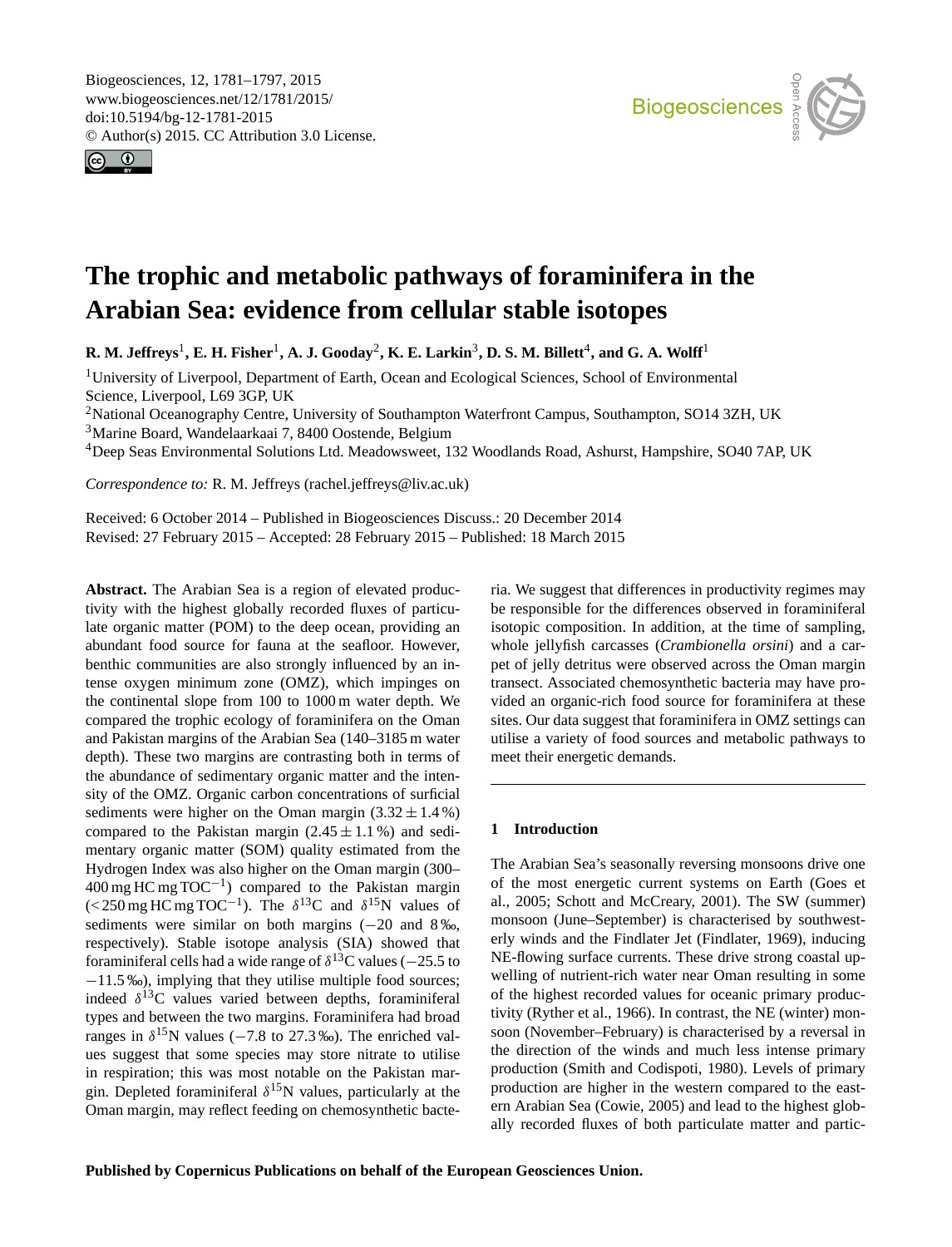<span id="page-0-1"></span>Biogeosciences, 12, 1781–1797, 2015 www.biogeosciences.net/12/1781/2015/ doi:10.5194/bg-12-1781-2015 © Author(s) 2015. CC Attribution 3.0 License.





# **The trophic and metabolic pathways of foraminifera in the Arabian Sea: evidence from cellular stable isotopes**

 $R$ **.** M. Jeffreys<sup>[1](#page-0-0)</sup>, E. H. Fisher<sup>1</sup>, A. J. Gooday<sup>[2](#page-0-0)</sup>, K. E. Larkin<sup>[3](#page-0-0)</sup>, D. S. M. Billett<sup>[4](#page-0-0)</sup>, and G. A. Wolff<sup>1</sup>

<sup>1</sup>University of Liverpool, Department of Earth, Ocean and Ecological Sciences, School of Environmental Science, Liverpool, L69 3GP, UK

<sup>2</sup>National Oceanography Centre, University of Southampton Waterfront Campus, Southampton, SO14 3ZH, UK <sup>3</sup>Marine Board, Wandelaarkaai 7, 8400 Oostende, Belgium

<sup>4</sup>Deep Seas Environmental Solutions Ltd. Meadowsweet, 132 Woodlands Road, Ashurst, Hampshire, SO40 7AP, UK

*Correspondence to:* R. M. Jeffreys (rachel.jeffreys@liv.ac.uk)

Received: 6 October 2014 – Published in Biogeosciences Discuss.: 20 December 2014 Revised: 27 February 2015 – Accepted: 28 February 2015 – Published: 18 March 2015

<span id="page-0-0"></span>**Abstract.** The Arabian Sea is a region of elevated productivity with the highest globally recorded fluxes of particulate organic matter (POM) to the deep ocean, providing an abundant food source for fauna at the seafloor. However, benthic communities are also strongly influenced by an intense oxygen minimum zone (OMZ), which impinges on the continental slope from 100 to 1000 m water depth. We compared the trophic ecology of foraminifera on the Oman and Pakistan margins of the Arabian Sea (140–3185 m water depth). These two margins are contrasting both in terms of the abundance of sedimentary organic matter and the intensity of the OMZ. Organic carbon concentrations of surficial sediments were higher on the Oman margin  $(3.32 \pm 1.4\%)$ compared to the Pakistan margin  $(2.45 \pm 1.1\%)$  and sedimentary organic matter (SOM) quality estimated from the Hydrogen Index was also higher on the Oman margin (300– 400 mg HC mg TOC−<sup>1</sup> ) compared to the Pakistan margin (<250 mg HC mg TOC<sup>-1</sup>). The  $\delta^{13}$ C and  $\delta^{15}$ N values of sediments were similar on both margins (−20 and 8‰, respectively). Stable isotope analysis (SIA) showed that foraminiferal cells had a wide range of  $\delta^{13}$ C values (-25.5 to −11.5 ‰), implying that they utilise multiple food sources; indeed  $\delta^{13}$ C values varied between depths, foraminiferal types and between the two margins. Foraminifera had broad ranges in  $\delta^{15}$ N values (-7.8 to 27.3‰). The enriched values suggest that some species may store nitrate to utilise in respiration; this was most notable on the Pakistan margin. Depleted foraminiferal  $\delta^{15}$ N values, particularly at the Oman margin, may reflect feeding on chemosynthetic bacteria. We suggest that differences in productivity regimes may be responsible for the differences observed in foraminiferal isotopic composition. In addition, at the time of sampling, whole jellyfish carcasses (*Crambionella orsini*) and a carpet of jelly detritus were observed across the Oman margin transect. Associated chemosynthetic bacteria may have provided an organic-rich food source for foraminifera at these sites. Our data suggest that foraminifera in OMZ settings can utilise a variety of food sources and metabolic pathways to meet their energetic demands.

# **1 Introduction**

The Arabian Sea's seasonally reversing monsoons drive one of the most energetic current systems on Earth (Goes et al., 2005; Schott and McCreary, 2001). The SW (summer) monsoon (June–September) is characterised by southwesterly winds and the Findlater Jet (Findlater, 1969), inducing NE-flowing surface currents. These drive strong coastal upwelling of nutrient-rich water near Oman resulting in some of the highest recorded values for oceanic primary productivity (Ryther et al., 1966). In contrast, the NE (winter) monsoon (November–February) is characterised by a reversal in the direction of the winds and much less intense primary production (Smith and Codispoti, 1980). Levels of primary production are higher in the western compared to the eastern Arabian Sea (Cowie, 2005) and lead to the highest globally recorded fluxes of both particulate matter and partic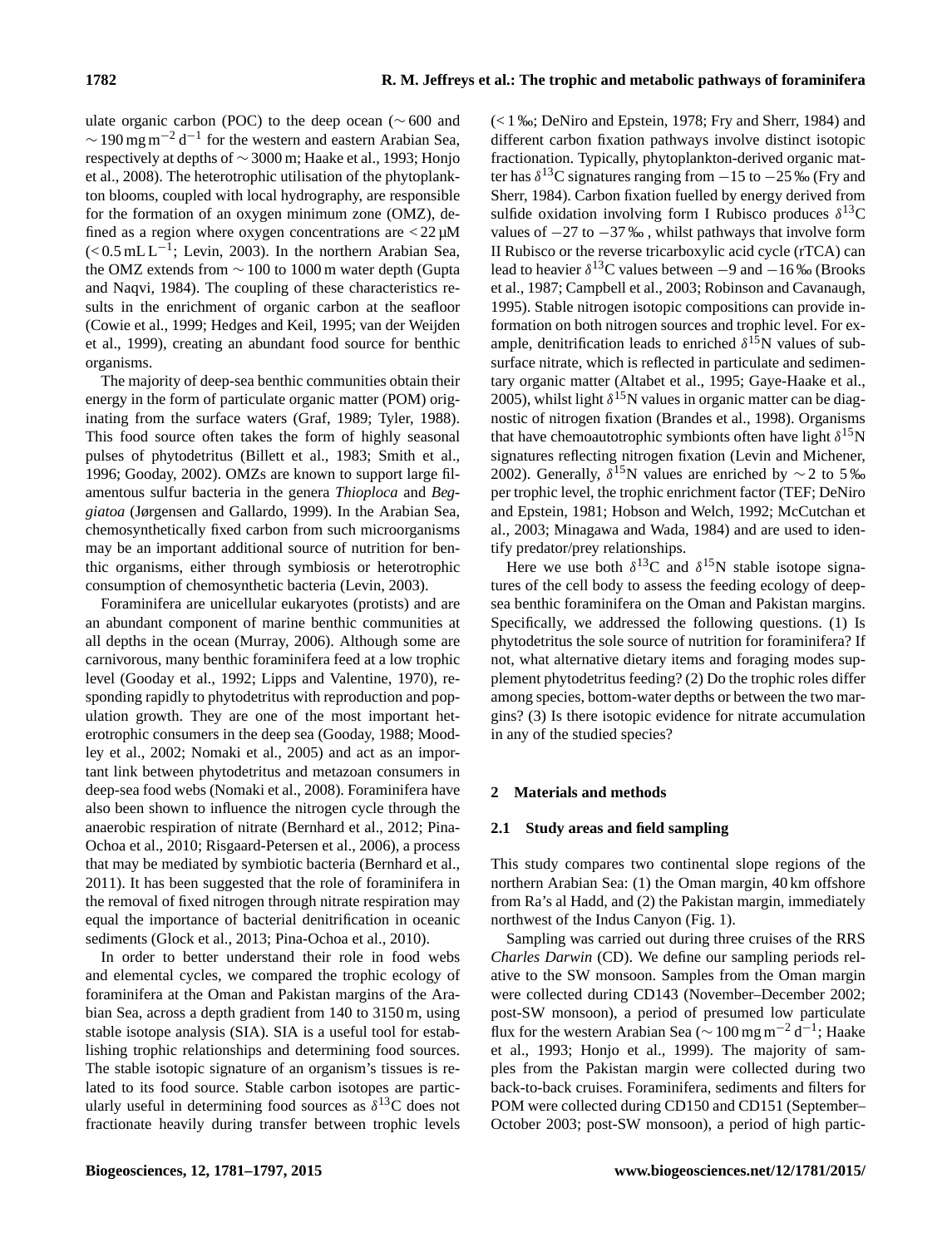ulate organic carbon (POC) to the deep ocean ( $\sim 600$  and  $\sim$  190 mg m<sup>-2</sup> d<sup>-1</sup> for the western and eastern Arabian Sea, respectively at depths of ∼ 3000 m; Haake et al., 1993; Honjo et al., 2008). The heterotrophic utilisation of the phytoplankton blooms, coupled with local hydrography, are responsible for the formation of an oxygen minimum zone (OMZ), defined as a region where oxygen concentrations are  $\langle 22 \mu M \rangle$  $\approx 0.5 \text{ mL L}^{-1}$ ; Levin, 2003). In the northern Arabian Sea, the OMZ extends from ∼ 100 to 1000 m water depth (Gupta and Naqvi, 1984). The coupling of these characteristics results in the enrichment of organic carbon at the seafloor (Cowie et al., 1999; Hedges and Keil, 1995; van der Weijden et al., 1999), creating an abundant food source for benthic organisms.

The majority of deep-sea benthic communities obtain their energy in the form of particulate organic matter (POM) originating from the surface waters (Graf, 1989; Tyler, 1988). This food source often takes the form of highly seasonal pulses of phytodetritus (Billett et al., 1983; Smith et al., 1996; Gooday, 2002). OMZs are known to support large filamentous sulfur bacteria in the genera *Thioploca* and *Beggiatoa* (Jørgensen and Gallardo, 1999). In the Arabian Sea, chemosynthetically fixed carbon from such microorganisms may be an important additional source of nutrition for benthic organisms, either through symbiosis or heterotrophic consumption of chemosynthetic bacteria (Levin, 2003).

Foraminifera are unicellular eukaryotes (protists) and are an abundant component of marine benthic communities at all depths in the ocean (Murray, 2006). Although some are carnivorous, many benthic foraminifera feed at a low trophic level (Gooday et al., 1992; Lipps and Valentine, 1970), responding rapidly to phytodetritus with reproduction and population growth. They are one of the most important heterotrophic consumers in the deep sea (Gooday, 1988; Moodley et al., 2002; Nomaki et al., 2005) and act as an important link between phytodetritus and metazoan consumers in deep-sea food webs (Nomaki et al., 2008). Foraminifera have also been shown to influence the nitrogen cycle through the anaerobic respiration of nitrate (Bernhard et al., 2012; Pina-Ochoa et al., 2010; Risgaard-Petersen et al., 2006), a process that may be mediated by symbiotic bacteria (Bernhard et al., 2011). It has been suggested that the role of foraminifera in the removal of fixed nitrogen through nitrate respiration may equal the importance of bacterial denitrification in oceanic sediments (Glock et al., 2013; Pina-Ochoa et al., 2010).

In order to better understand their role in food webs and elemental cycles, we compared the trophic ecology of foraminifera at the Oman and Pakistan margins of the Arabian Sea, across a depth gradient from 140 to 3150 m, using stable isotope analysis (SIA). SIA is a useful tool for establishing trophic relationships and determining food sources. The stable isotopic signature of an organism's tissues is related to its food source. Stable carbon isotopes are particularly useful in determining food sources as  $\delta^{13}$ C does not fractionate heavily during transfer between trophic levels (< 1 ‰; DeNiro and Epstein, 1978; Fry and Sherr, 1984) and different carbon fixation pathways involve distinct isotopic fractionation. Typically, phytoplankton-derived organic matter has  $\delta^{13}$ C signatures ranging from  $-15$  to  $-25$  ‰ (Fry and Sherr, 1984). Carbon fixation fuelled by energy derived from sulfide oxidation involving form I Rubisco produces  $\delta^{13}$ C values of  $-27$  to  $-37$  ‰, whilst pathways that involve form II Rubisco or the reverse tricarboxylic acid cycle (rTCA) can lead to heavier  $\delta^{13}$ C values between  $-9$  and  $-16$  ‰ (Brooks et al., 1987; Campbell et al., 2003; Robinson and Cavanaugh, 1995). Stable nitrogen isotopic compositions can provide information on both nitrogen sources and trophic level. For example, denitrification leads to enriched  $\delta^{15}$ N values of subsurface nitrate, which is reflected in particulate and sedimentary organic matter (Altabet et al., 1995; Gaye-Haake et al., 2005), whilst light  $\delta^{15}N$  values in organic matter can be diagnostic of nitrogen fixation (Brandes et al., 1998). Organisms that have chemoautotrophic symbionts often have light  $\delta^{15}N$ signatures reflecting nitrogen fixation (Levin and Michener, 2002). Generally,  $\delta^{15}$ N values are enriched by ~2 to 5‰ per trophic level, the trophic enrichment factor (TEF; DeNiro and Epstein, 1981; Hobson and Welch, 1992; McCutchan et al., 2003; Minagawa and Wada, 1984) and are used to identify predator/prey relationships.

Here we use both  $\delta^{13}$ C and  $\delta^{15}$ N stable isotope signatures of the cell body to assess the feeding ecology of deepsea benthic foraminifera on the Oman and Pakistan margins. Specifically, we addressed the following questions. (1) Is phytodetritus the sole source of nutrition for foraminifera? If not, what alternative dietary items and foraging modes supplement phytodetritus feeding? (2) Do the trophic roles differ among species, bottom-water depths or between the two margins? (3) Is there isotopic evidence for nitrate accumulation in any of the studied species?

## **2 Materials and methods**

### **2.1 Study areas and field sampling**

This study compares two continental slope regions of the northern Arabian Sea: (1) the Oman margin, 40 km offshore from Ra's al Hadd, and (2) the Pakistan margin, immediately northwest of the Indus Canyon (Fig. 1).

Sampling was carried out during three cruises of the RRS *Charles Darwin* (CD). We define our sampling periods relative to the SW monsoon. Samples from the Oman margin were collected during CD143 (November–December 2002; post-SW monsoon), a period of presumed low particulate flux for the western Arabian Sea ( $\sim 100$  mg m<sup>-2</sup> d<sup>-1</sup>; Haake et al., 1993; Honjo et al., 1999). The majority of samples from the Pakistan margin were collected during two back-to-back cruises. Foraminifera, sediments and filters for POM were collected during CD150 and CD151 (September– October 2003; post-SW monsoon), a period of high partic-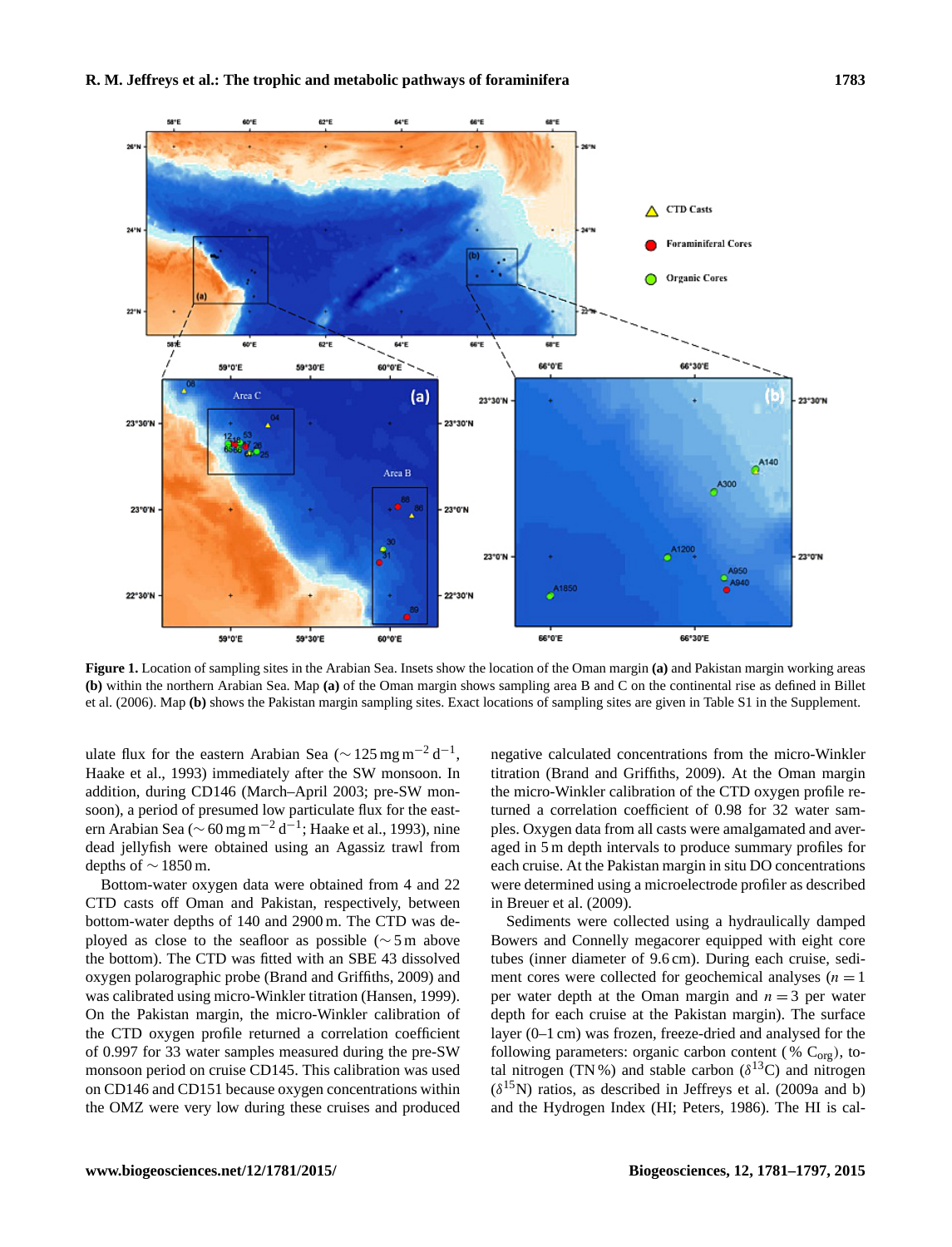

**Figure 1.** Location of sampling sites in the Arabian Sea. Insets show the location of the Oman margin **(a)** and Pakistan margin working areas **(b)** within the northern Arabian Sea. Map **(a)** of the Oman margin shows sampling area B and C on the continental rise as defined in Billet et al. (2006). Map **(b)** shows the Pakistan margin sampling sites. Exact locations of sampling sites are given in Table S1 in the Supplement.

ulate flux for the eastern Arabian Sea ( $\sim$  125 mg m<sup>-2</sup> d<sup>-1</sup>, Haake et al., 1993) immediately after the SW monsoon. In addition, during CD146 (March–April 2003; pre-SW monsoon), a period of presumed low particulate flux for the eastern Arabian Sea ( $\sim$  60 mg m<sup>-2</sup> d<sup>-1</sup>; Haake et al., 1993), nine dead jellyfish were obtained using an Agassiz trawl from depths of ∼ 1850 m.

Bottom-water oxygen data were obtained from 4 and 22 CTD casts off Oman and Pakistan, respectively, between bottom-water depths of 140 and 2900 m. The CTD was deployed as close to the seafloor as possible (∼ 5 m above the bottom). The CTD was fitted with an SBE 43 dissolved oxygen polarographic probe (Brand and Griffiths, 2009) and was calibrated using micro-Winkler titration (Hansen, 1999). On the Pakistan margin, the micro-Winkler calibration of the CTD oxygen profile returned a correlation coefficient of 0.997 for 33 water samples measured during the pre-SW monsoon period on cruise CD145. This calibration was used on CD146 and CD151 because oxygen concentrations within the OMZ were very low during these cruises and produced negative calculated concentrations from the micro-Winkler titration (Brand and Griffiths, 2009). At the Oman margin the micro-Winkler calibration of the CTD oxygen profile returned a correlation coefficient of 0.98 for 32 water samples. Oxygen data from all casts were amalgamated and averaged in 5 m depth intervals to produce summary profiles for each cruise. At the Pakistan margin in situ DO concentrations were determined using a microelectrode profiler as described in Breuer et al. (2009).

Sediments were collected using a hydraulically damped Bowers and Connelly megacorer equipped with eight core tubes (inner diameter of 9.6 cm). During each cruise, sediment cores were collected for geochemical analyses  $(n = 1$ per water depth at the Oman margin and  $n = 3$  per water depth for each cruise at the Pakistan margin). The surface layer (0–1 cm) was frozen, freeze-dried and analysed for the following parameters: organic carbon content (%  $C_{\text{org}}$ ), total nitrogen (TN%) and stable carbon ( $\delta^{13}$ C) and nitrogen  $(\delta^{15}N)$  ratios, as described in Jeffreys et al. (2009a and b) and the Hydrogen Index (HI; Peters, 1986). The HI is cal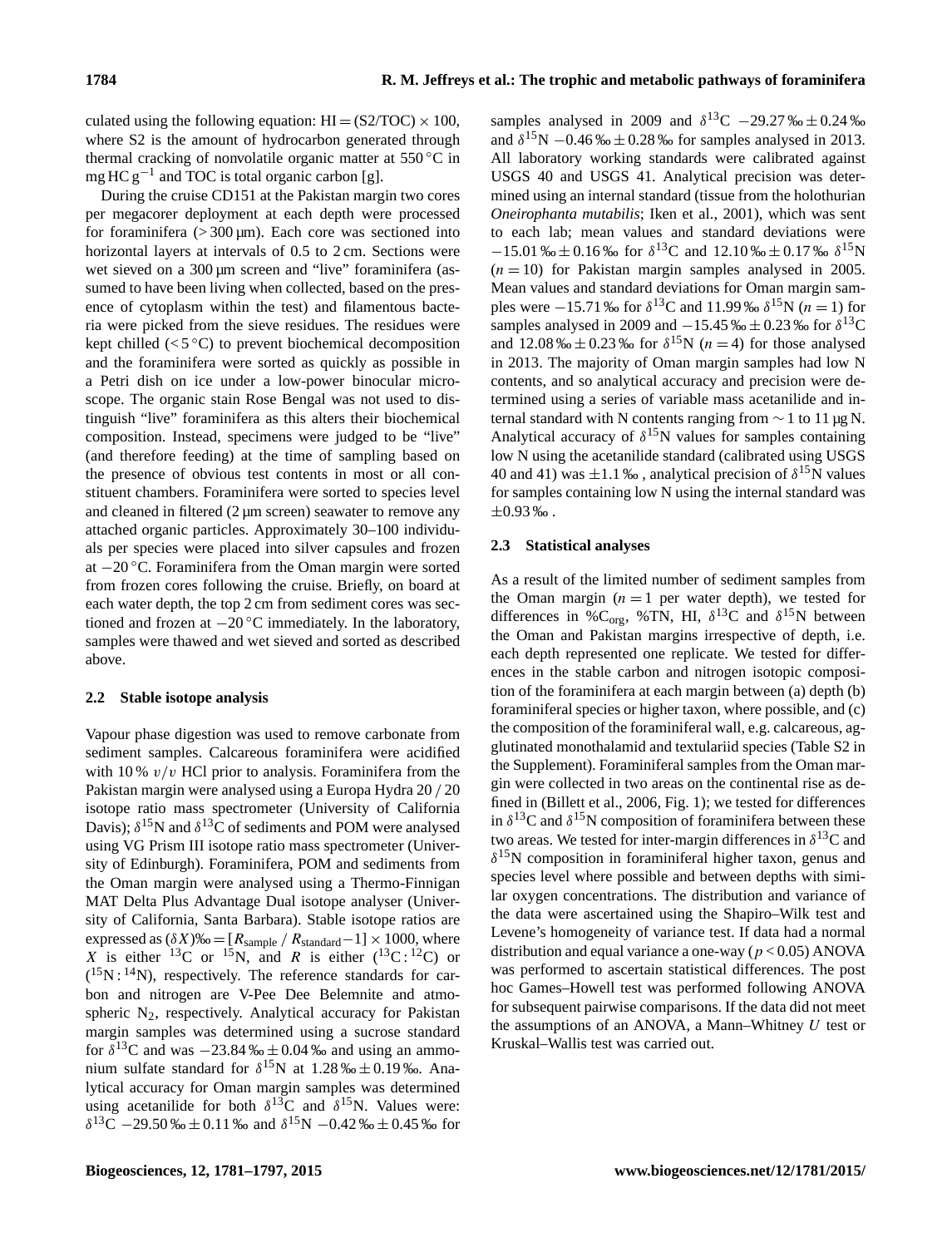culated using the following equation:  $HI = (S2/TOC) \times 100$ , where S2 is the amount of hydrocarbon generated through thermal cracking of nonvolatile organic matter at  $550\,^{\circ}\text{C}$  in mg HC  $g^{-1}$  and TOC is total organic carbon [g].

During the cruise CD151 at the Pakistan margin two cores per megacorer deployment at each depth were processed for foraminifera  $(>300 \,\text{µm})$ . Each core was sectioned into horizontal layers at intervals of 0.5 to 2 cm. Sections were wet sieved on a 300 µm screen and "live" foraminifera (assumed to have been living when collected, based on the presence of cytoplasm within the test) and filamentous bacteria were picked from the sieve residues. The residues were kept chilled ( $\lt 5^\circ$ C) to prevent biochemical decomposition and the foraminifera were sorted as quickly as possible in a Petri dish on ice under a low-power binocular microscope. The organic stain Rose Bengal was not used to distinguish "live" foraminifera as this alters their biochemical composition. Instead, specimens were judged to be "live" (and therefore feeding) at the time of sampling based on the presence of obvious test contents in most or all constituent chambers. Foraminifera were sorted to species level and cleaned in filtered (2  $\mu$ m screen) seawater to remove any attached organic particles. Approximately 30–100 individuals per species were placed into silver capsules and frozen at −20 ◦C. Foraminifera from the Oman margin were sorted from frozen cores following the cruise. Briefly, on board at each water depth, the top 2 cm from sediment cores was sectioned and frozen at  $-20\degree C$  immediately. In the laboratory, samples were thawed and wet sieved and sorted as described above.

## **2.2 Stable isotope analysis**

Vapour phase digestion was used to remove carbonate from sediment samples. Calcareous foraminifera were acidified with 10 %  $v/v$  HCl prior to analysis. Foraminifera from the Pakistan margin were analysed using a Europa Hydra 20 / 20 isotope ratio mass spectrometer (University of California Davis);  $\delta^{15}N$  and  $\delta^{13}C$  of sediments and POM were analysed using VG Prism III isotope ratio mass spectrometer (University of Edinburgh). Foraminifera, POM and sediments from the Oman margin were analysed using a Thermo-Finnigan MAT Delta Plus Advantage Dual isotope analyser (University of California, Santa Barbara). Stable isotope ratios are expressed as  $(\delta X)$ ‰ = [ $R_{\text{sample}}/R_{\text{standard}}-1$ ] × 1000, where X is either <sup>13</sup>C or <sup>15</sup>N, and R is either  $(^{13}C; ^{12}C)$  or  $(^{15}N; ^{14}N)$ , respectively. The reference standards for carbon and nitrogen are V-Pee Dee Belemnite and atmospheric  $N_2$ , respectively. Analytical accuracy for Pakistan margin samples was determined using a sucrose standard for  $\delta^{13}$ C and was  $-23.84\% \pm 0.04\%$  and using an ammonium sulfate standard for  $\delta^{15}N$  at 1.28 ‰  $\pm$  0.19 ‰. Analytical accuracy for Oman margin samples was determined using acetanilide for both  $\delta^{13}$ C and  $\delta^{15}$ N. Values were:  $δ<sup>13</sup>C – 29.50 %<sub>0</sub> ± 0.11 %<sub>0</sub> and δ<sup>15</sup>N – 0.42 %<sub>0</sub> ± 0.45 %<sub>0</sub> for$ 

samples analysed in 2009 and  $\delta^{13}$ C −29.27 ‰ ± 0.24 ‰ and  $\delta^{15}N - 0.46\% \pm 0.28\%$  for samples analysed in 2013. All laboratory working standards were calibrated against USGS 40 and USGS 41. Analytical precision was determined using an internal standard (tissue from the holothurian *Oneirophanta mutabilis*; Iken et al., 2001), which was sent to each lab; mean values and standard deviations were  $-15.01\% \pm 0.16\%$  for  $\delta^{13}C$  and  $12.10\% \pm 0.17\%$   $\delta^{15}N$  $(n = 10)$  for Pakistan margin samples analysed in 2005. Mean values and standard deviations for Oman margin samples were  $-15.71$  ‰ for  $\delta^{13}$ C and 11.99 ‰  $\delta^{15}$ N (*n* = 1) for samples analysed in 2009 and  $-15.45\% \pm 0.23\%$  for  $\delta^{13}$ C and 12.08 ‰  $\pm$  0.23 ‰ for  $\delta^{15}N$  (*n* = 4) for those analysed in 2013. The majority of Oman margin samples had low N contents, and so analytical accuracy and precision were determined using a series of variable mass acetanilide and internal standard with N contents ranging from  $\sim$  1 to 11 μg N. Analytical accuracy of  $\delta^{15}N$  values for samples containing low N using the acetanilide standard (calibrated using USGS 40 and 41) was  $\pm 1.1$  ‰, analytical precision of  $\delta^{15}N$  values for samples containing low N using the internal standard was  $\pm 0.93 \%$ .

## **2.3 Statistical analyses**

As a result of the limited number of sediment samples from the Oman margin  $(n = 1$  per water depth), we tested for differences in %C<sub>org</sub>, %TN, HI,  $\delta^{13}$ C and  $\delta^{15}$ N between the Oman and Pakistan margins irrespective of depth, i.e. each depth represented one replicate. We tested for differences in the stable carbon and nitrogen isotopic composition of the foraminifera at each margin between (a) depth (b) foraminiferal species or higher taxon, where possible, and (c) the composition of the foraminiferal wall, e.g. calcareous, agglutinated monothalamid and textulariid species (Table S2 in the Supplement). Foraminiferal samples from the Oman margin were collected in two areas on the continental rise as defined in (Billett et al., 2006, Fig. 1); we tested for differences in  $\delta^{13}$ C and  $\delta^{15}$ N composition of foraminifera between these two areas. We tested for inter-margin differences in  $\delta^{13}$ C and δ <sup>15</sup>N composition in foraminiferal higher taxon, genus and species level where possible and between depths with similar oxygen concentrations. The distribution and variance of the data were ascertained using the Shapiro–Wilk test and Levene's homogeneity of variance test. If data had a normal distribution and equal variance a one-way ( $p < 0.05$ ) ANOVA was performed to ascertain statistical differences. The post hoc Games–Howell test was performed following ANOVA for subsequent pairwise comparisons. If the data did not meet the assumptions of an ANOVA, a Mann–Whitney  $U$  test or Kruskal–Wallis test was carried out.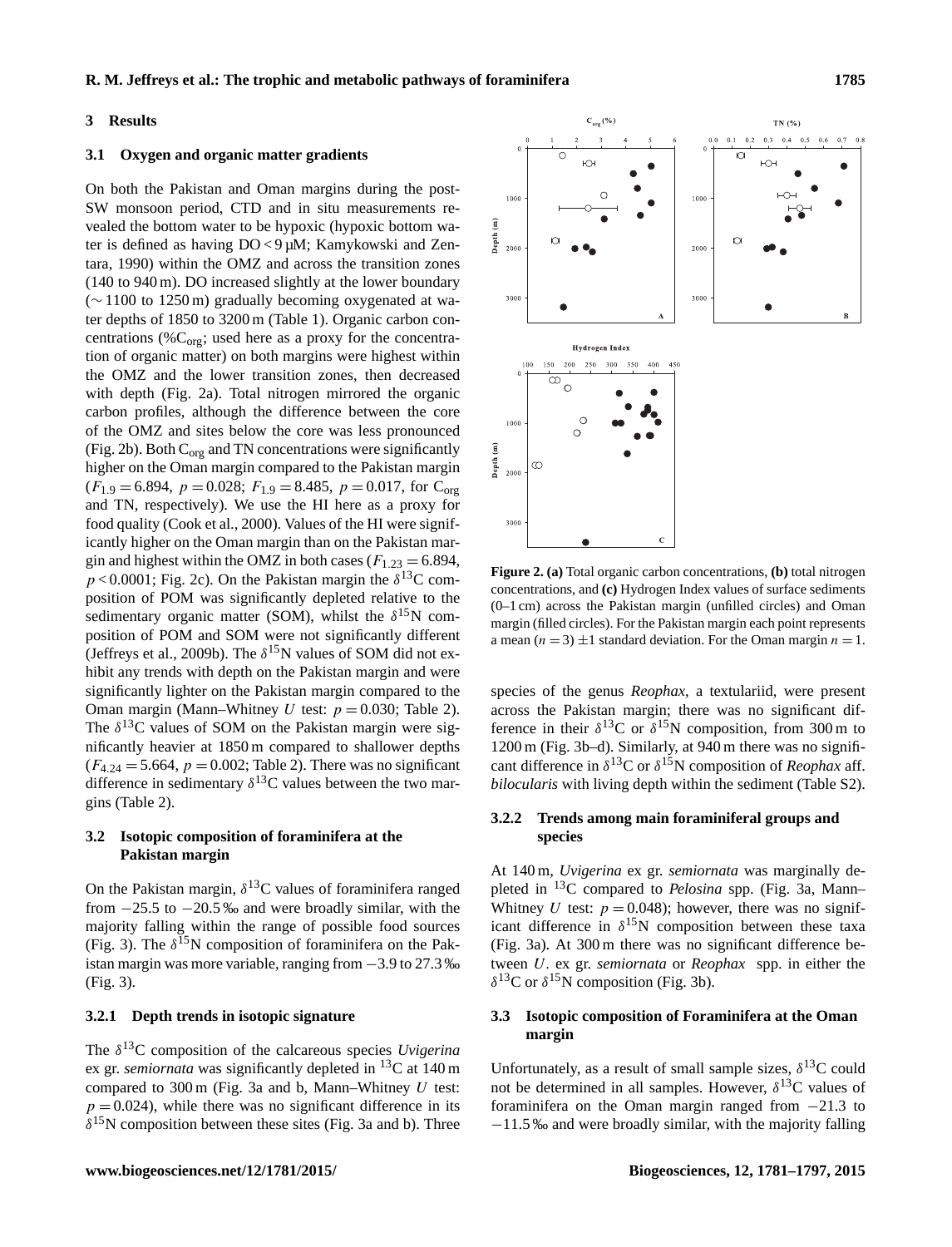#### **3 Results**

#### **3.1 Oxygen and organic matter gradients**

On both the Pakistan and Oman margins during the post-SW monsoon period, CTD and in situ measurements revealed the bottom water to be hypoxic (hypoxic bottom water is defined as having DO < 9 µM; Kamykowski and Zentara, 1990) within the OMZ and across the transition zones (140 to 940 m). DO increased slightly at the lower boundary (∼ 1100 to 1250 m) gradually becoming oxygenated at water depths of 1850 to 3200 m (Table 1). Organic carbon concentrations (% $C_{org}$ ; used here as a proxy for the concentration of organic matter) on both margins were highest within the OMZ and the lower transition zones, then decreased with depth (Fig. 2a). Total nitrogen mirrored the organic carbon profiles, although the difference between the core of the OMZ and sites below the core was less pronounced (Fig. 2b). Both  $C_{org}$  and TN concentrations were significantly higher on the Oman margin compared to the Pakistan margin  $(F_{1.9} = 6.894, p = 0.028; F_{1.9} = 8.485, p = 0.017$ , for C<sub>org</sub> and TN, respectively). We use the HI here as a proxy for food quality (Cook et al., 2000). Values of the HI were significantly higher on the Oman margin than on the Pakistan margin and highest within the OMZ in both cases ( $F_{1,23} = 6.894$ ,  $p < 0.0001$ ; Fig. 2c). On the Pakistan margin the  $\delta^{13}$ C composition of POM was significantly depleted relative to the sedimentary organic matter (SOM), whilst the  $\delta^{15}N$  composition of POM and SOM were not significantly different (Jeffreys et al., 2009b). The  $\delta^{15}N$  values of SOM did not exhibit any trends with depth on the Pakistan margin and were significantly lighter on the Pakistan margin compared to the Oman margin (Mann–Whitney U test:  $p = 0.030$ ; Table 2). The  $\delta^{13}$ C values of SOM on the Pakistan margin were significantly heavier at 1850 m compared to shallower depths  $(F_{4,24} = 5.664, p = 0.002;$  Table 2). There was no significant difference in sedimentary  $\delta^{13}$ C values between the two margins (Table 2).

# **3.2 Isotopic composition of foraminifera at the Pakistan margin**

On the Pakistan margin,  $\delta^{13}$ C values of foraminifera ranged from  $-25.5$  to  $-20.5$  ‰ and were broadly similar, with the majority falling within the range of possible food sources (Fig. 3). The  $\delta^{15}N$  composition of foraminifera on the Pakistan margin was more variable, ranging from −3.9 to 27.3 ‰ (Fig. 3).

## **3.2.1 Depth trends in isotopic signature**

The  $\delta^{13}$ C composition of the calcareous species *Uvigerina* ex gr. *semiornata* was significantly depleted in <sup>13</sup>C at 140 m compared to  $300 \text{ m}$  (Fig. 3a and b, Mann–Whitney U test:  $p = 0.024$ , while there was no significant difference in its  $\delta^{15}$ N composition between these sites (Fig. 3a and b). Three



**Figure 2. (a)** Total organic carbon concentrations, **(b)** total nitrogen concentrations, and **(c)** Hydrogen Index values of surface sediments (0–1 cm) across the Pakistan margin (unfilled circles) and Oman margin (filled circles). For the Pakistan margin each point represents a mean ( $n = 3$ )  $\pm 1$  standard deviation. For the Oman margin  $n = 1$ .

species of the genus *Reophax*, a textulariid, were present across the Pakistan margin; there was no significant difference in their  $\delta^{13}$ C or  $\delta^{15}$ N composition, from 300 m to 1200 m (Fig. 3b–d). Similarly, at 940 m there was no significant difference in  $\delta^{13}$ C or  $\delta^{15}$ N composition of *Reophax* aff. *bilocularis* with living depth within the sediment (Table S2).

# **3.2.2 Trends among main foraminiferal groups and species**

At 140 m, *Uvigerina* ex gr. *semiornata* was marginally depleted in <sup>13</sup>C compared to *Pelosina* spp. (Fig. 3a, Mann– Whitney U test:  $p = 0.048$ ; however, there was no significant difference in  $\delta^{15}N$  composition between these taxa (Fig. 3a). At 300 m there was no significant difference between U. ex gr. *semiornata* or *Reophax* spp. in either the δ<sup>13</sup>C or δ<sup>15</sup>N composition (Fig. 3b).

# **3.3 Isotopic composition of Foraminifera at the Oman margin**

Unfortunately, as a result of small sample sizes,  $\delta^{13}C$  could not be determined in all samples. However,  $\delta^{13}$ C values of foraminifera on the Oman margin ranged from −21.3 to −11.5 ‰ and were broadly similar, with the majority falling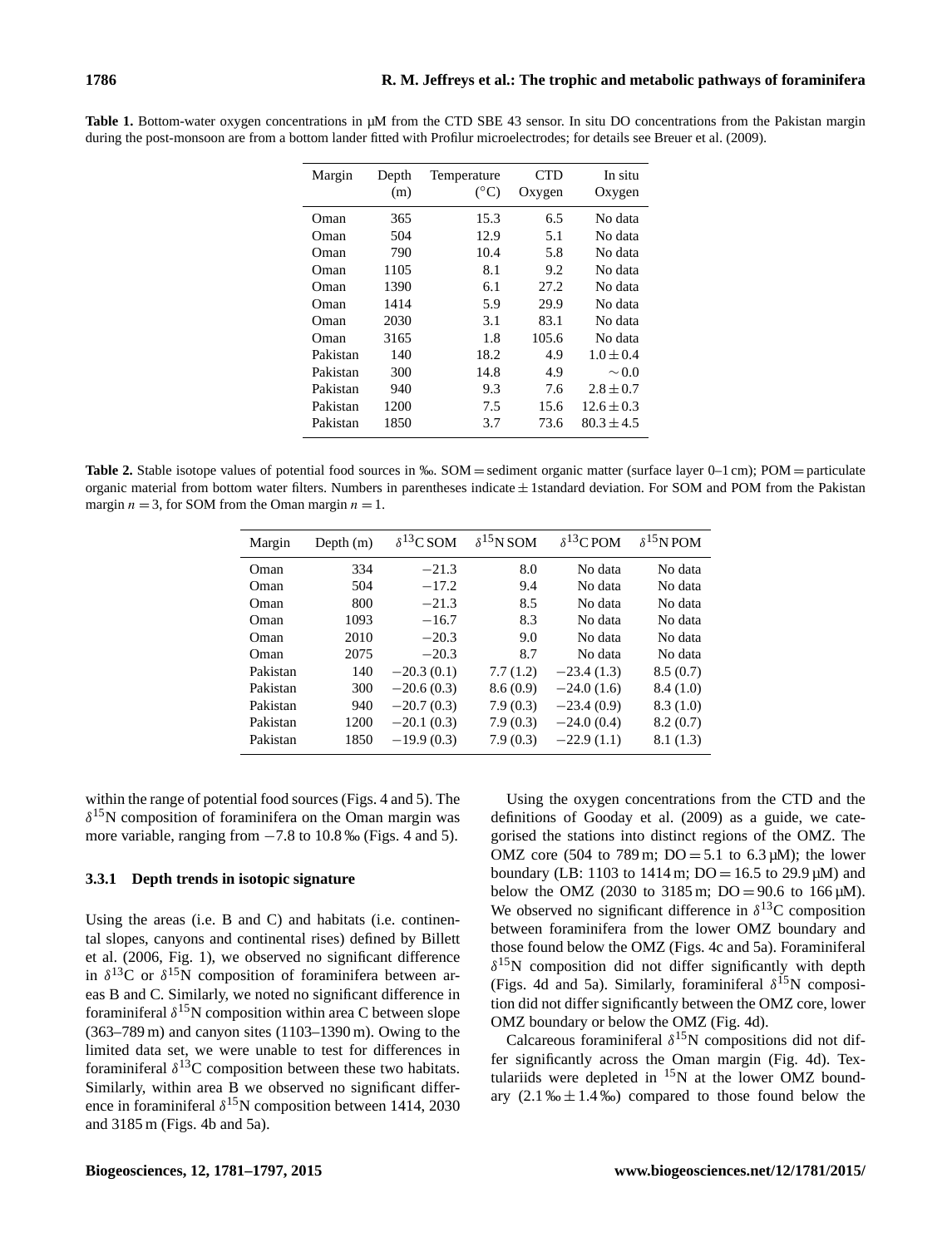| Margin   | Depth | Temperature<br>$(^{\circ}C)$ | CTD    | In situ        |
|----------|-------|------------------------------|--------|----------------|
|          | (m)   |                              | Oxygen | Oxygen         |
| Oman)    | 365   | 15.3                         | 6.5    | No data        |
| Oman)    | 504   | 12.9                         | 5.1    | No data        |
| Oman)    | 790   | 10.4                         | 5.8    | No data        |
| Oman)    | 1105  | 8.1                          | 9.2    | No data        |
| Oman     | 1390  | 6.1                          | 27.2   | No data        |
| Oman)    | 1414  | 5.9                          | 29.9   | No data        |
| Oman)    | 2030  | 3.1                          | 83.1   | No data        |
| Oman     | 3165  | 1.8                          | 105.6  | No data        |
| Pakistan | 140   | 18.2                         | 4.9    | $1.0 \pm 0.4$  |
| Pakistan | 300   | 14.8                         | 4.9    | $\sim 0.0$     |
| Pakistan | 940   | 9.3                          | 7.6    | $2.8 \pm 0.7$  |
| Pakistan | 1200  | 7.5                          | 15.6   | $12.6 \pm 0.3$ |
| Pakistan | 1850  | 3.7                          | 73.6   | $80.3 \pm 4.5$ |
|          |       |                              |        |                |

**Table 1.** Bottom-water oxygen concentrations in µM from the CTD SBE 43 sensor. In situ DO concentrations from the Pakistan margin during the post-monsoon are from a bottom lander fitted with Profilur microelectrodes; for details see Breuer et al. (2009).

**Table 2.** Stable isotope values of potential food sources in ‰. SOM = sediment organic matter (surface layer 0–1 cm); POM = particulate organic material from bottom water filters. Numbers in parentheses indicate  $\pm$  1standard deviation. For SOM and POM from the Pakistan margin  $n = 3$ , for SOM from the Oman margin  $n = 1$ .

| Margin   | Depth $(m)$ | $\delta^{13}$ C SOM | $\delta^{15}$ N SOM | $\delta^{13}$ C POM | $\delta^{15}$ N POM |
|----------|-------------|---------------------|---------------------|---------------------|---------------------|
| Oman     | 334         | $-21.3$             | 8.0                 | No data             | No data             |
| Oman     | 504         | $-17.2$             | 9.4                 | No data             | No data             |
| Oman     | 800         | $-21.3$             | 8.5                 | No data             | No data             |
| Oman     | 1093        | $-16.7$             | 8.3                 | No data             | No data             |
| Oman     | 2010        | $-20.3$             | 9.0                 | No data             | No data             |
| Oman     | 2075        | $-20.3$             | 8.7                 | No data             | No data             |
| Pakistan | 140         | $-20.3(0.1)$        | 7.7(1.2)            | $-23.4(1.3)$        | 8.5(0.7)            |
| Pakistan | 300         | $-20.6(0.3)$        | 8.6(0.9)            | $-24.0(1.6)$        | 8.4(1.0)            |
| Pakistan | 940         | $-20.7(0.3)$        | 7.9(0.3)            | $-23.4(0.9)$        | 8.3(1.0)            |
| Pakistan | 1200        | $-20.1(0.3)$        | 7.9(0.3)            | $-24.0(0.4)$        | 8.2(0.7)            |
| Pakistan | 1850        | $-19.9(0.3)$        | 7.9(0.3)            | $-22.9(1.1)$        | 8.1(1.3)            |

within the range of potential food sources (Figs. 4 and 5). The  $\delta^{15}$ N composition of foraminifera on the Oman margin was more variable, ranging from  $-7.8$  to 10.8‰ (Figs. 4 and 5).

## **3.3.1 Depth trends in isotopic signature**

Using the areas (i.e. B and C) and habitats (i.e. continental slopes, canyons and continental rises) defined by Billett et al. (2006, Fig. 1), we observed no significant difference in  $\delta^{13}$ C or  $\delta^{15}$ N composition of foraminifera between areas B and C. Similarly, we noted no significant difference in foraminiferal  $\delta^{15}N$  composition within area C between slope (363–789 m) and canyon sites (1103–1390 m). Owing to the limited data set, we were unable to test for differences in foraminiferal  $\delta^{13}$ C composition between these two habitats. Similarly, within area B we observed no significant difference in foraminiferal  $\delta^{15}$ N composition between 1414, 2030 and 3185 m (Figs. 4b and 5a).

Using the oxygen concentrations from the CTD and the definitions of Gooday et al. (2009) as a guide, we categorised the stations into distinct regions of the OMZ. The OMZ core (504 to 789 m;  $DO = 5.1$  to 6.3  $\mu$ M); the lower boundary (LB: 1103 to 1414 m;  $DO = 16.5$  to 29.9  $\mu$ M) and below the OMZ (2030 to 3185 m;  $DO = 90.6$  to 166  $\mu$ M). We observed no significant difference in  $\delta^{13}$ C composition between foraminifera from the lower OMZ boundary and those found below the OMZ (Figs. 4c and 5a). Foraminiferal  $\delta^{15}$ N composition did not differ significantly with depth (Figs. 4d and 5a). Similarly, foraminiferal  $\delta^{15}N$  composition did not differ significantly between the OMZ core, lower OMZ boundary or below the OMZ (Fig. 4d).

Calcareous foraminiferal  $\delta^{15}N$  compositions did not differ significantly across the Oman margin (Fig. 4d). Textulariids were depleted in  $^{15}N$  at the lower OMZ boundary  $(2.1\% \pm 1.4\%)$  compared to those found below the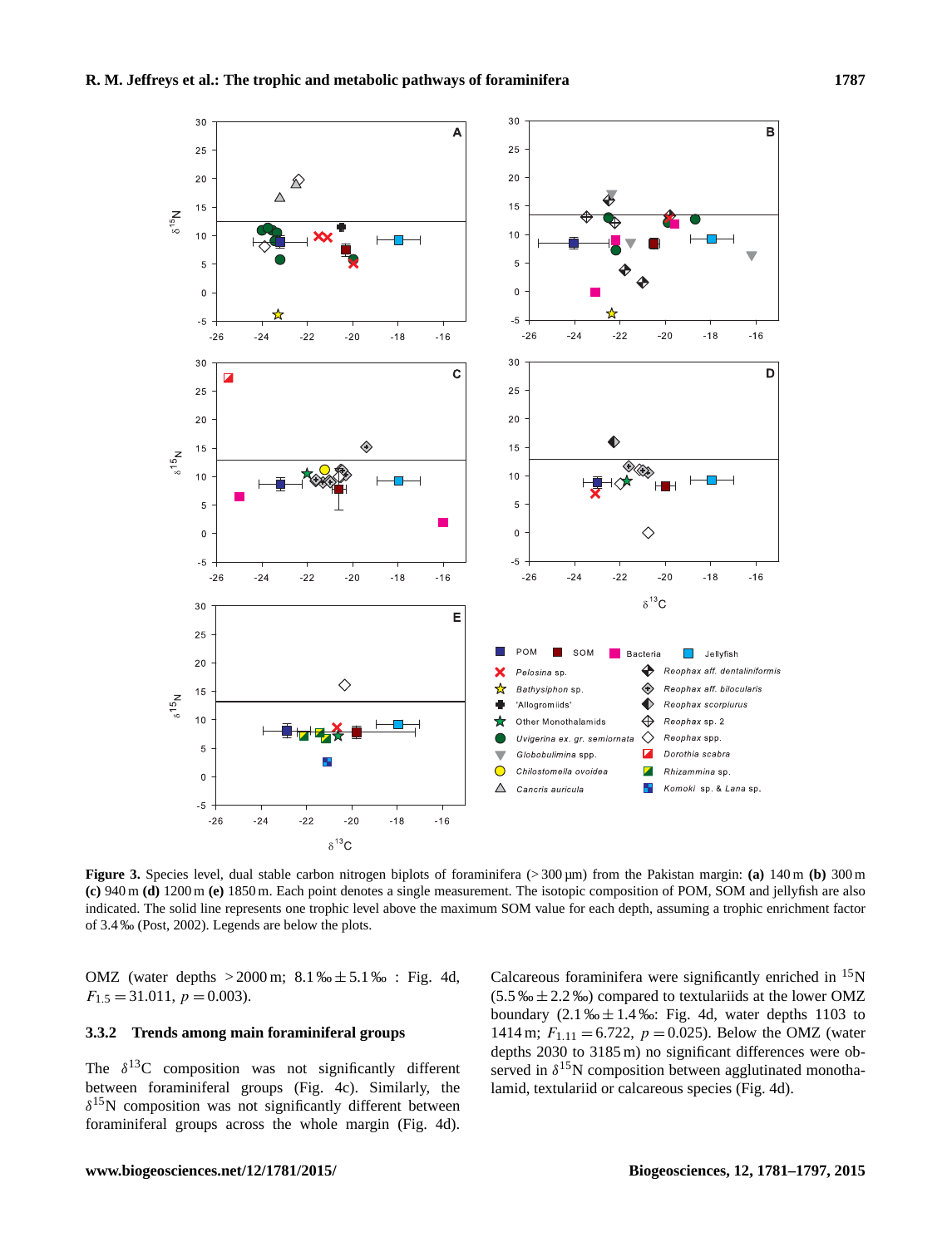

**Figure 3.** Species level, dual stable carbon nitrogen biplots of foraminifera ( $>$ 300  $\mu$ m) from the Pakistan margin: **(a)** 140 m **(b)** 300 m **(c)** 940 m **(d)** 1200 m **(e)** 1850 m. Each point denotes a single measurement. The isotopic composition of POM, SOM and jellyfish are also indicated. The solid line represents one trophic level above the maximum SOM value for each depth, assuming a trophic enrichment factor of 3.4 ‰ (Post, 2002). Legends are below the plots.

OMZ (water depths  $> 2000 \,\text{m}$ ;  $8.1\,\% \pm 5.1\,\%$  : Fig. 4d,  $F_{1.5} = 31.011, p = 0.003$ .

## **3.3.2 Trends among main foraminiferal groups**

The  $\delta^{13}$ C composition was not significantly different between foraminiferal groups (Fig. 4c). Similarly, the  $\delta^{15}$ N composition was not significantly different between foraminiferal groups across the whole margin (Fig. 4d). Calcareous foraminifera were significantly enriched in  $15N$  $(5.5\% \pm 2.2\% \cdot \cdot)$  compared to textulariids at the lower OMZ boundary  $(2.1\% \pm 1.4\% \cdot \cdot \cdot)$  Fig. 4d, water depths 1103 to 1414 m;  $F_{1,11} = 6.722$ ,  $p = 0.025$ ). Below the OMZ (water depths 2030 to 3185 m) no significant differences were observed in  $\delta^{15}$ N composition between agglutinated monothalamid, textulariid or calcareous species (Fig. 4d).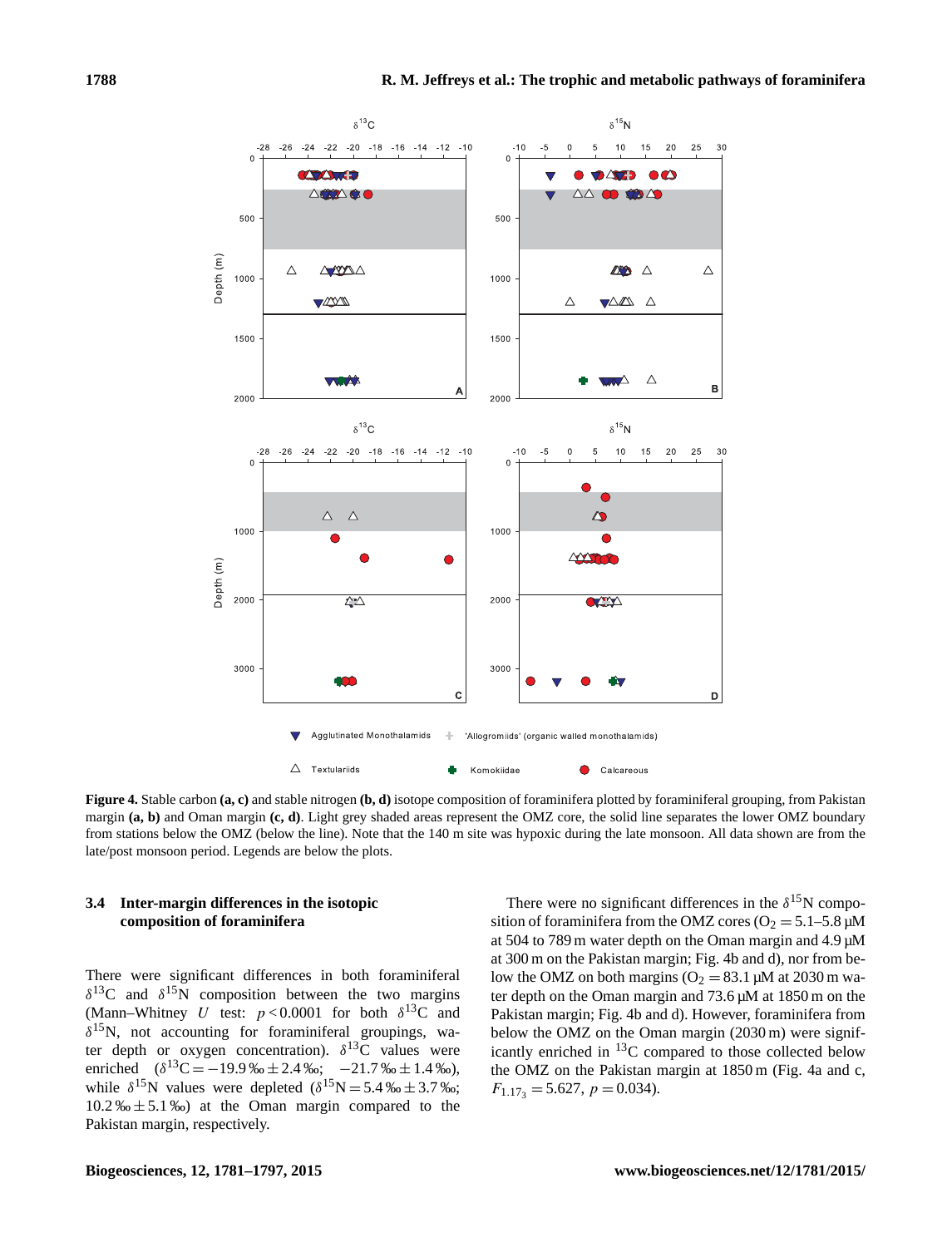

**Figure 4.** Stable carbon **(a, c)** and stable nitrogen **(b, d)** isotope composition of foraminifera plotted by foraminiferal grouping, from Pakistan margin **(a, b)** and Oman margin **(c, d)**. Light grey shaded areas represent the OMZ core, the solid line separates the lower OMZ boundary from stations below the OMZ (below the line). Note that the 140 m site was hypoxic during the late monsoon. All data shown are from the late/post monsoon period. Legends are below the plots.

# **3.4 Inter-margin differences in the isotopic composition of foraminifera**

There were significant differences in both foraminiferal  $\delta^{13}$ C and  $\delta^{15}$ N composition between the two margins (Mann–Whitney U test:  $p < 0.0001$  for both  $\delta^{13}C$  and  $\delta^{15}$ N, not accounting for foraminiferal groupings, water depth or oxygen concentration).  $\delta^{13}$ C values were enriched  $(\delta^{13}C = -19.9\% \text{ m} \pm 2.4\% \text{ s}; -21.7\% \text{ m} \pm 1.4\% \text{ s}),$ while  $\delta^{15}$ N values were depleted  $(\delta^{15}N = 5.4\% \text{ m} \pm 3.7\% \text{ m})$ ;  $10.2\% \pm 5.1\%$  at the Oman margin compared to the Pakistan margin, respectively.

There were no significant differences in the  $\delta^{15}$ N composition of foraminifera from the OMZ cores ( $O_2 = 5.1-5.8 \mu M$ at 504 to 789 m water depth on the Oman margin and 4.9 µM at 300 m on the Pakistan margin; Fig. 4b and d), nor from below the OMZ on both margins ( $O_2 = 83.1 \,\mu$ M at 2030 m water depth on the Oman margin and 73.6 µM at 1850 m on the Pakistan margin; Fig. 4b and d). However, foraminifera from below the OMZ on the Oman margin (2030 m) were significantly enriched in <sup>13</sup>C compared to those collected below the OMZ on the Pakistan margin at 1850 m (Fig. 4a and c,  $F_{1.17_3} = 5.627, p = 0.034$ .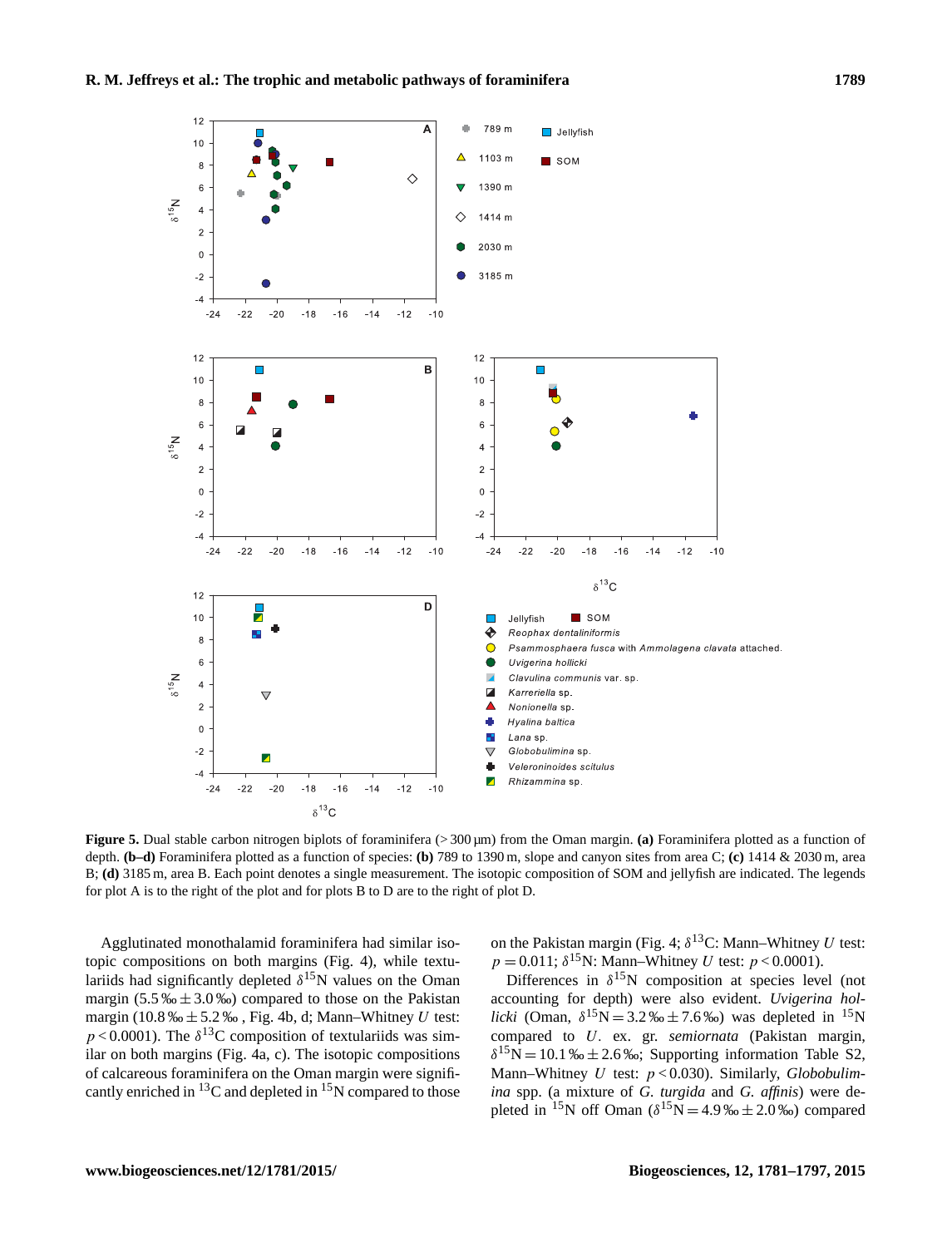

**Figure 5.** Dual stable carbon nitrogen biplots of foraminifera (> 300 µm) from the Oman margin. **(a)** Foraminifera plotted as a function of depth. **(b–d)** Foraminifera plotted as a function of species: **(b)** 789 to 1390 m, slope and canyon sites from area C; **(c)** 1414 & 2030 m, area B; **(d)** 3185 m, area B. Each point denotes a single measurement. The isotopic composition of SOM and jellyfish are indicated. The legends for plot A is to the right of the plot and for plots B to D are to the right of plot D.

Agglutinated monothalamid foraminifera had similar isotopic compositions on both margins (Fig. 4), while textulariids had significantly depleted  $\delta^{15}$ N values on the Oman margin  $(5.5\% \pm 3.0\% )$  compared to those on the Pakistan margin (10.8 ‰  $\pm$  5.2 ‰, Fig. 4b, d; Mann–Whitney U test:  $p < 0.0001$ ). The  $\delta^{13}$ C composition of textulariids was similar on both margins (Fig. 4a, c). The isotopic compositions of calcareous foraminifera on the Oman margin were significantly enriched in  ${}^{13}C$  and depleted in  ${}^{15}N$  compared to those on the Pakistan margin (Fig. 4;  $\delta^{13}$ C: Mann–Whitney U test:  $p = 0.011$ ;  $\delta^{15}$ N: Mann–Whitney U test:  $p < 0.0001$ ).

Differences in  $\delta^{15}$ N composition at species level (not accounting for depth) were also evident. *Uvigerina hollicki* (Oman,  $\delta^{15}N = 3.2\% \pm 7.6\%$ ) was depleted in <sup>15</sup>N compared to U. ex. gr. *semiornata* (Pakistan margin,  $\delta^{15}N = 10.1\% \pm 2.6\%$ ; Supporting information Table S2, Mann–Whitney U test: p < 0.030). Similarly, *Globobulimina* spp. (a mixture of *G. turgida* and *G. affinis*) were depleted in <sup>15</sup>N off Oman ( $\delta^{15}N = 4.9\% \pm 2.0\%$ ) compared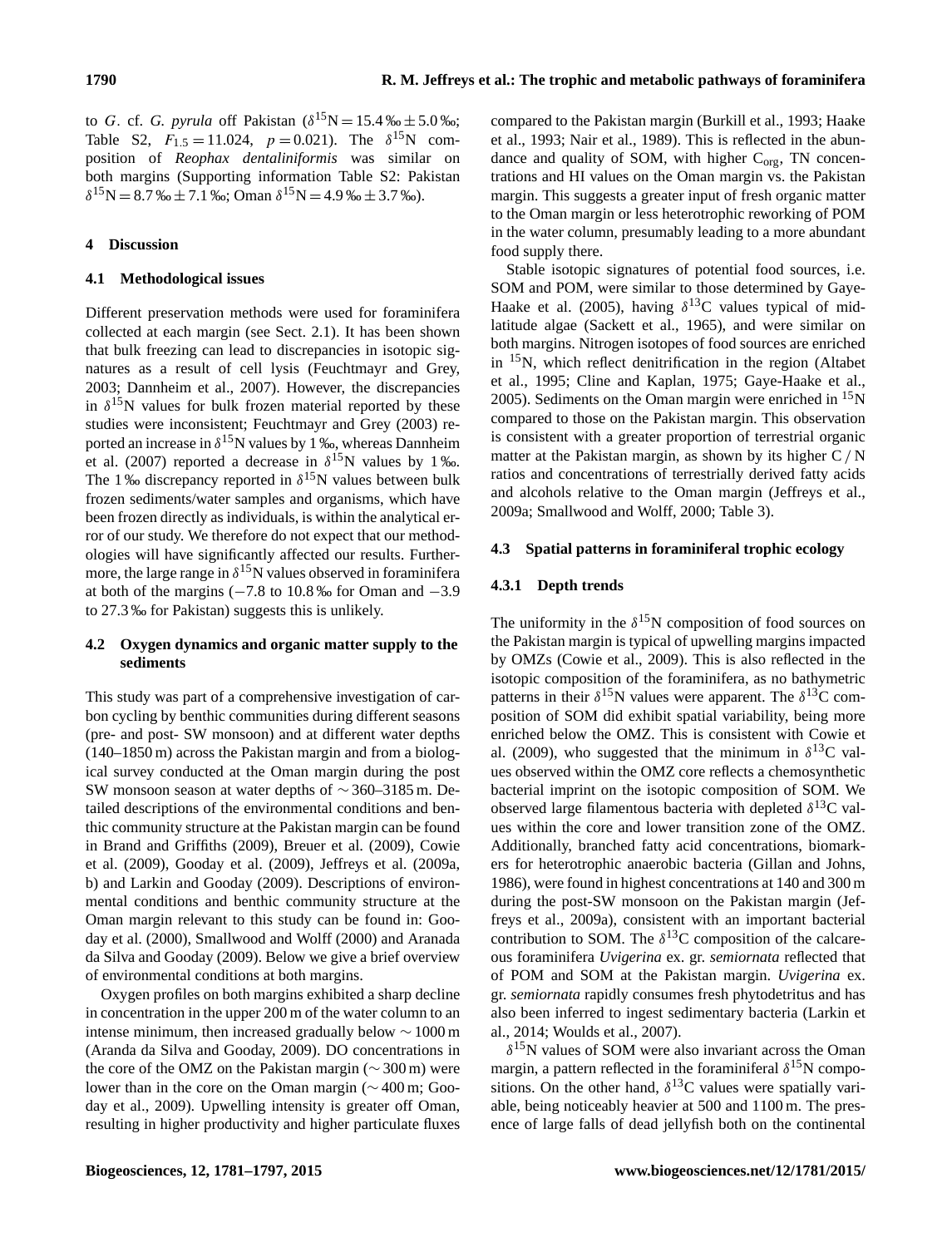to *G*. cf. *G. pyrula* off Pakistan  $(\delta^{15}N = 15.4\% \text{ m} \pm 5.0\% \text{ m})$ ; Table S2,  $F_{1.5} = 11.024$ ,  $p = 0.021$ ). The  $\delta^{15}$ N composition of *Reophax dentaliniformis* was similar on both margins (Supporting information Table S2: Pakistan  $\delta^{15}N = 8.7\% \text{m} \pm 7.1\%$ ; Oman  $\delta^{15}N = 4.9\% \text{m} \pm 3.7\%$ .

# **4 Discussion**

# **4.1 Methodological issues**

Different preservation methods were used for foraminifera collected at each margin (see Sect. 2.1). It has been shown that bulk freezing can lead to discrepancies in isotopic signatures as a result of cell lysis (Feuchtmayr and Grey, 2003; Dannheim et al., 2007). However, the discrepancies in  $\delta^{15}$ N values for bulk frozen material reported by these studies were inconsistent; Feuchtmayr and Grey (2003) reported an increase in  $\delta^{15}N$  values by 1 ‰, whereas Dannheim et al. (2007) reported a decrease in  $\delta^{15}N$  values by 1 ‰. The 1 ‰ discrepancy reported in  $\delta^{15}$ N values between bulk frozen sediments/water samples and organisms, which have been frozen directly as individuals, is within the analytical error of our study. We therefore do not expect that our methodologies will have significantly affected our results. Furthermore, the large range in  $\delta^{15}$ N values observed in foraminifera at both of the margins ( $-7.8$  to 10.8‰ for Oman and  $-3.9$ to 27.3 ‰ for Pakistan) suggests this is unlikely.

# **4.2 Oxygen dynamics and organic matter supply to the sediments**

This study was part of a comprehensive investigation of carbon cycling by benthic communities during different seasons (pre- and post- SW monsoon) and at different water depths (140–1850 m) across the Pakistan margin and from a biological survey conducted at the Oman margin during the post SW monsoon season at water depths of ∼ 360–3185 m. Detailed descriptions of the environmental conditions and benthic community structure at the Pakistan margin can be found in Brand and Griffiths (2009), Breuer et al. (2009), Cowie et al. (2009), Gooday et al. (2009), Jeffreys et al. (2009a, b) and Larkin and Gooday (2009). Descriptions of environmental conditions and benthic community structure at the Oman margin relevant to this study can be found in: Gooday et al. (2000), Smallwood and Wolff (2000) and Aranada da Silva and Gooday (2009). Below we give a brief overview of environmental conditions at both margins.

Oxygen profiles on both margins exhibited a sharp decline in concentration in the upper 200 m of the water column to an intense minimum, then increased gradually below ∼ 1000 m (Aranda da Silva and Gooday, 2009). DO concentrations in the core of the OMZ on the Pakistan margin (∼ 300 m) were lower than in the core on the Oman margin (∼ 400 m; Gooday et al., 2009). Upwelling intensity is greater off Oman, resulting in higher productivity and higher particulate fluxes compared to the Pakistan margin (Burkill et al., 1993; Haake et al., 1993; Nair et al., 1989). This is reflected in the abundance and quality of SOM, with higher  $C_{\text{org}}$ , TN concentrations and HI values on the Oman margin vs. the Pakistan margin. This suggests a greater input of fresh organic matter to the Oman margin or less heterotrophic reworking of POM in the water column, presumably leading to a more abundant food supply there.

Stable isotopic signatures of potential food sources, i.e. SOM and POM, were similar to those determined by Gaye-Haake et al. (2005), having  $\delta^{13}$ C values typical of midlatitude algae (Sackett et al., 1965), and were similar on both margins. Nitrogen isotopes of food sources are enriched in  $15N$ , which reflect denitrification in the region (Altabet et al., 1995; Cline and Kaplan, 1975; Gaye-Haake et al., 2005). Sediments on the Oman margin were enriched in  ${}^{15}N$ compared to those on the Pakistan margin. This observation is consistent with a greater proportion of terrestrial organic matter at the Pakistan margin, as shown by its higher C/ N ratios and concentrations of terrestrially derived fatty acids and alcohols relative to the Oman margin (Jeffreys et al., 2009a; Smallwood and Wolff, 2000; Table 3).

# **4.3 Spatial patterns in foraminiferal trophic ecology**

# **4.3.1 Depth trends**

The uniformity in the  $\delta^{15}$ N composition of food sources on the Pakistan margin is typical of upwelling margins impacted by OMZs (Cowie et al., 2009). This is also reflected in the isotopic composition of the foraminifera, as no bathymetric patterns in their  $\delta^{15}$ N values were apparent. The  $\delta^{13}$ C composition of SOM did exhibit spatial variability, being more enriched below the OMZ. This is consistent with Cowie et al. (2009), who suggested that the minimum in  $\delta^{13}$ C values observed within the OMZ core reflects a chemosynthetic bacterial imprint on the isotopic composition of SOM. We observed large filamentous bacteria with depleted  $\delta^{13}$ C values within the core and lower transition zone of the OMZ. Additionally, branched fatty acid concentrations, biomarkers for heterotrophic anaerobic bacteria (Gillan and Johns, 1986), were found in highest concentrations at 140 and 300 m during the post-SW monsoon on the Pakistan margin (Jeffreys et al., 2009a), consistent with an important bacterial contribution to SOM. The  $\delta^{13}$ C composition of the calcareous foraminifera *Uvigerina* ex. gr. *semiornata* reflected that of POM and SOM at the Pakistan margin. *Uvigerina* ex. gr. *semiornata* rapidly consumes fresh phytodetritus and has also been inferred to ingest sedimentary bacteria (Larkin et al., 2014; Woulds et al., 2007).

 $\delta^{15}$ N values of SOM were also invariant across the Oman margin, a pattern reflected in the foraminiferal  $\delta^{15}N$  compositions. On the other hand,  $\delta^{13}$ C values were spatially variable, being noticeably heavier at 500 and 1100 m. The presence of large falls of dead jellyfish both on the continental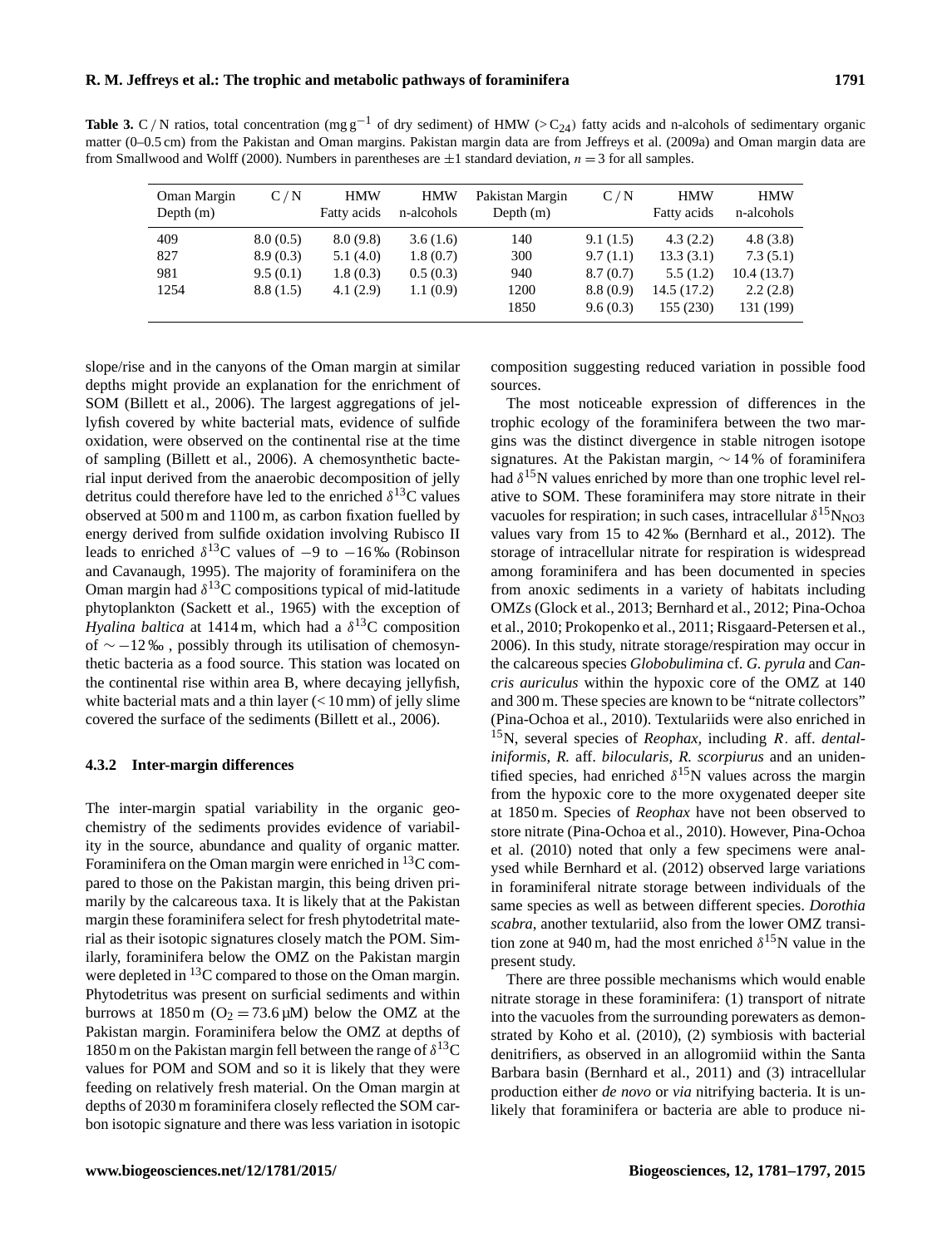**Table 3.** C/N ratios, total concentration (mg g<sup>-1</sup> of dry sediment) of HMW (> C<sub>24</sub>) fatty acids and n-alcohols of sedimentary organic matter (0–0.5 cm) from the Pakistan and Oman margins. Pakistan margin data are from Jeffreys et al. (2009a) and Oman margin data are from Smallwood and Wolff (2000). Numbers in parentheses are  $\pm 1$  standard deviation,  $n = 3$  for all samples.

| Oman Margin<br>Depth $(m)$ | C/N                                          | <b>HMW</b><br>Fatty acids                    | <b>HMW</b><br>n-alcohols                     | Pakistan Margin<br>Depth $(m)$    | C/N                                                      | <b>HMW</b><br>Fatty acids                                     | <b>HMW</b><br>n-alcohols                                    |
|----------------------------|----------------------------------------------|----------------------------------------------|----------------------------------------------|-----------------------------------|----------------------------------------------------------|---------------------------------------------------------------|-------------------------------------------------------------|
| 409<br>827<br>981<br>1254  | 8.0(0.5)<br>8.9(0.3)<br>9.5(0.1)<br>8.8(1.5) | 8.0(9.8)<br>5.1(4.0)<br>1.8(0.3)<br>4.1(2.9) | 3.6(1.6)<br>1.8(0.7)<br>0.5(0.3)<br>1.1(0.9) | 140<br>300<br>940<br>1200<br>1850 | 9.1(1.5)<br>9.7(1.1)<br>8.7(0.7)<br>8.8(0.9)<br>9.6(0.3) | 4.3(2.2)<br>13.3(3.1)<br>5.5(1.2)<br>14.5 (17.2)<br>155 (230) | 4.8(3.8)<br>7.3(5.1)<br>10.4(13.7)<br>2.2(2.8)<br>131 (199) |

slope/rise and in the canyons of the Oman margin at similar depths might provide an explanation for the enrichment of SOM (Billett et al., 2006). The largest aggregations of jellyfish covered by white bacterial mats, evidence of sulfide oxidation, were observed on the continental rise at the time of sampling (Billett et al., 2006). A chemosynthetic bacterial input derived from the anaerobic decomposition of jelly detritus could therefore have led to the enriched  $\delta^{13}$ C values observed at 500 m and 1100 m, as carbon fixation fuelled by energy derived from sulfide oxidation involving Rubisco II leads to enriched  $\delta^{13}$ C values of  $-9$  to  $-16\%$  (Robinson and Cavanaugh, 1995). The majority of foraminifera on the Oman margin had  $\delta^{13}$ C compositions typical of mid-latitude phytoplankton (Sackett et al., 1965) with the exception of *Hyalina baltica* at 1414 m, which had a  $\delta^{13}$ C composition of ∼ −12 ‰ , possibly through its utilisation of chemosynthetic bacteria as a food source. This station was located on the continental rise within area B, where decaying jellyfish, white bacterial mats and a thin layer  $\ll 10$  mm) of jelly slime covered the surface of the sediments (Billett et al., 2006).

### **4.3.2 Inter-margin differences**

The inter-margin spatial variability in the organic geochemistry of the sediments provides evidence of variability in the source, abundance and quality of organic matter. Foraminifera on the Oman margin were enriched in  ${}^{13}C$  compared to those on the Pakistan margin, this being driven primarily by the calcareous taxa. It is likely that at the Pakistan margin these foraminifera select for fresh phytodetrital material as their isotopic signatures closely match the POM. Similarly, foraminifera below the OMZ on the Pakistan margin were depleted in <sup>13</sup>C compared to those on the Oman margin. Phytodetritus was present on surficial sediments and within burrows at  $1850 \text{ m } (O_2 = 73.6 \text{ }\mu\text{M})$  below the OMZ at the Pakistan margin. Foraminifera below the OMZ at depths of 1850 m on the Pakistan margin fell between the range of  $\delta^{13}$ C values for POM and SOM and so it is likely that they were feeding on relatively fresh material. On the Oman margin at depths of 2030 m foraminifera closely reflected the SOM carbon isotopic signature and there was less variation in isotopic composition suggesting reduced variation in possible food sources.

The most noticeable expression of differences in the trophic ecology of the foraminifera between the two margins was the distinct divergence in stable nitrogen isotope signatures. At the Pakistan margin, ∼ 14 % of foraminifera had  $\delta^{15}$ N values enriched by more than one trophic level relative to SOM. These foraminifera may store nitrate in their vacuoles for respiration; in such cases, intracellular  $\delta^{15}$ N<sub>NO3</sub> values vary from 15 to 42 ‰ (Bernhard et al., 2012). The storage of intracellular nitrate for respiration is widespread among foraminifera and has been documented in species from anoxic sediments in a variety of habitats including OMZs (Glock et al., 2013; Bernhard et al., 2012; Pina-Ochoa et al., 2010; Prokopenko et al., 2011; Risgaard-Petersen et al., 2006). In this study, nitrate storage/respiration may occur in the calcareous species *Globobulimina* cf. *G. pyrula* and *Cancris auriculus* within the hypoxic core of the OMZ at 140 and 300 m. These species are known to be "nitrate collectors" (Pina-Ochoa et al., 2010). Textulariids were also enriched in <sup>15</sup>N, several species of *Reophax,* including R. aff. *dentaliniformis, R.* aff. *bilocularis, R. scorpiurus* and an unidentified species, had enriched  $\delta^{15}$ N values across the margin from the hypoxic core to the more oxygenated deeper site at 1850 m. Species of *Reophax* have not been observed to store nitrate (Pina-Ochoa et al., 2010). However, Pina-Ochoa et al. (2010) noted that only a few specimens were analysed while Bernhard et al. (2012) observed large variations in foraminiferal nitrate storage between individuals of the same species as well as between different species. *Dorothia scabra*, another textulariid, also from the lower OMZ transition zone at 940 m, had the most enriched  $\delta^{15}$ N value in the present study.

There are three possible mechanisms which would enable nitrate storage in these foraminifera: (1) transport of nitrate into the vacuoles from the surrounding porewaters as demonstrated by Koho et al. (2010), (2) symbiosis with bacterial denitrifiers, as observed in an allogromiid within the Santa Barbara basin (Bernhard et al., 2011) and (3) intracellular production either *de novo* or *via* nitrifying bacteria. It is unlikely that foraminifera or bacteria are able to produce ni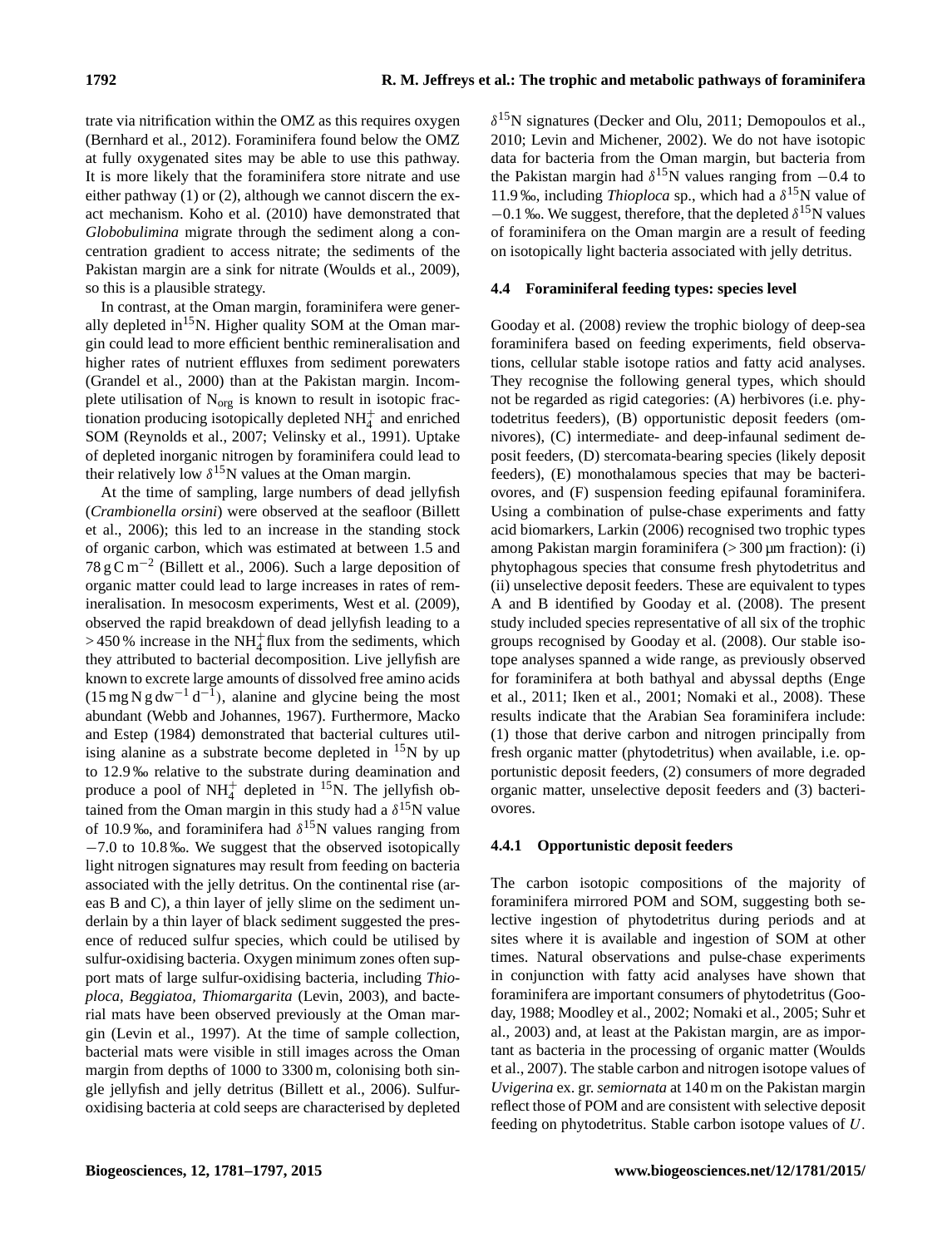trate via nitrification within the OMZ as this requires oxygen (Bernhard et al., 2012). Foraminifera found below the OMZ at fully oxygenated sites may be able to use this pathway. It is more likely that the foraminifera store nitrate and use either pathway (1) or (2), although we cannot discern the exact mechanism. Koho et al. (2010) have demonstrated that *Globobulimina* migrate through the sediment along a concentration gradient to access nitrate; the sediments of the Pakistan margin are a sink for nitrate (Woulds et al., 2009), so this is a plausible strategy.

In contrast, at the Oman margin, foraminifera were generally depleted in<sup>15</sup>N. Higher quality SOM at the Oman margin could lead to more efficient benthic remineralisation and higher rates of nutrient effluxes from sediment porewaters (Grandel et al., 2000) than at the Pakistan margin. Incomplete utilisation of  $N_{org}$  is known to result in isotopic fractionation producing isotopically depleted  $NH<sub>4</sub><sup>+</sup>$  and enriched SOM (Reynolds et al., 2007; Velinsky et al., 1991). Uptake of depleted inorganic nitrogen by foraminifera could lead to their relatively low  $\delta^{15}$ N values at the Oman margin.

At the time of sampling, large numbers of dead jellyfish (*Crambionella orsini*) were observed at the seafloor (Billett et al., 2006); this led to an increase in the standing stock of organic carbon, which was estimated at between 1.5 and  $78 \text{ g C m}^{-2}$  (Billett et al., 2006). Such a large deposition of organic matter could lead to large increases in rates of remineralisation. In mesocosm experiments, West et al. (2009), observed the rapid breakdown of dead jellyfish leading to a  $>$  450 % increase in the NH<sup>+</sup><sub>4</sub> flux from the sediments, which they attributed to bacterial decomposition. Live jellyfish are known to excrete large amounts of dissolved free amino acids  $(15 \text{ mg N g dw}^{-1} d^{-1})$ , alanine and glycine being the most abundant (Webb and Johannes, 1967). Furthermore, Macko and Estep (1984) demonstrated that bacterial cultures utilising alanine as a substrate become depleted in  ${}^{15}N$  by up to 12.9 ‰ relative to the substrate during deamination and produce a pool of  $NH_4^+$  depleted in <sup>15</sup>N. The jellyfish obtained from the Oman margin in this study had a  $\delta^{15}N$  value of 10.9‰, and foraminifera had  $\delta^{15}N$  values ranging from −7.0 to 10.8 ‰. We suggest that the observed isotopically light nitrogen signatures may result from feeding on bacteria associated with the jelly detritus. On the continental rise (areas B and C), a thin layer of jelly slime on the sediment underlain by a thin layer of black sediment suggested the presence of reduced sulfur species, which could be utilised by sulfur-oxidising bacteria. Oxygen minimum zones often support mats of large sulfur-oxidising bacteria, including *Thioploca, Beggiatoa, Thiomargarita* (Levin, 2003), and bacterial mats have been observed previously at the Oman margin (Levin et al., 1997). At the time of sample collection, bacterial mats were visible in still images across the Oman margin from depths of 1000 to 3300 m, colonising both single jellyfish and jelly detritus (Billett et al., 2006). Sulfuroxidising bacteria at cold seeps are characterised by depleted

 $\delta^{15}$ N signatures (Decker and Olu, 2011; Demopoulos et al., 2010; Levin and Michener, 2002). We do not have isotopic data for bacteria from the Oman margin, but bacteria from the Pakistan margin had  $\delta^{15}$ N values ranging from  $-0.4$  to 11.9 ‰, including *Thioploca* sp., which had a  $\delta^{15}N$  value of  $-0.1$  ‰. We suggest, therefore, that the depleted  $\delta^{15}$ N values of foraminifera on the Oman margin are a result of feeding on isotopically light bacteria associated with jelly detritus.

## **4.4 Foraminiferal feeding types: species level**

Gooday et al. (2008) review the trophic biology of deep-sea foraminifera based on feeding experiments, field observations, cellular stable isotope ratios and fatty acid analyses. They recognise the following general types, which should not be regarded as rigid categories: (A) herbivores (i.e. phytodetritus feeders), (B) opportunistic deposit feeders (omnivores), (C) intermediate- and deep-infaunal sediment deposit feeders, (D) stercomata-bearing species (likely deposit feeders), (E) monothalamous species that may be bacteriovores, and (F) suspension feeding epifaunal foraminifera. Using a combination of pulse-chase experiments and fatty acid biomarkers, Larkin (2006) recognised two trophic types among Pakistan margin foraminifera (> 300 µm fraction): (i) phytophagous species that consume fresh phytodetritus and (ii) unselective deposit feeders. These are equivalent to types A and B identified by Gooday et al. (2008). The present study included species representative of all six of the trophic groups recognised by Gooday et al. (2008). Our stable isotope analyses spanned a wide range, as previously observed for foraminifera at both bathyal and abyssal depths (Enge et al., 2011; Iken et al., 2001; Nomaki et al., 2008). These results indicate that the Arabian Sea foraminifera include: (1) those that derive carbon and nitrogen principally from fresh organic matter (phytodetritus) when available, i.e. opportunistic deposit feeders, (2) consumers of more degraded organic matter, unselective deposit feeders and (3) bacteriovores.

## **4.4.1 Opportunistic deposit feeders**

The carbon isotopic compositions of the majority of foraminifera mirrored POM and SOM, suggesting both selective ingestion of phytodetritus during periods and at sites where it is available and ingestion of SOM at other times. Natural observations and pulse-chase experiments in conjunction with fatty acid analyses have shown that foraminifera are important consumers of phytodetritus (Gooday, 1988; Moodley et al., 2002; Nomaki et al., 2005; Suhr et al., 2003) and, at least at the Pakistan margin, are as important as bacteria in the processing of organic matter (Woulds et al., 2007). The stable carbon and nitrogen isotope values of *Uvigerina* ex. gr. *semiornata* at 140 m on the Pakistan margin reflect those of POM and are consistent with selective deposit feeding on phytodetritus. Stable carbon isotope values of U.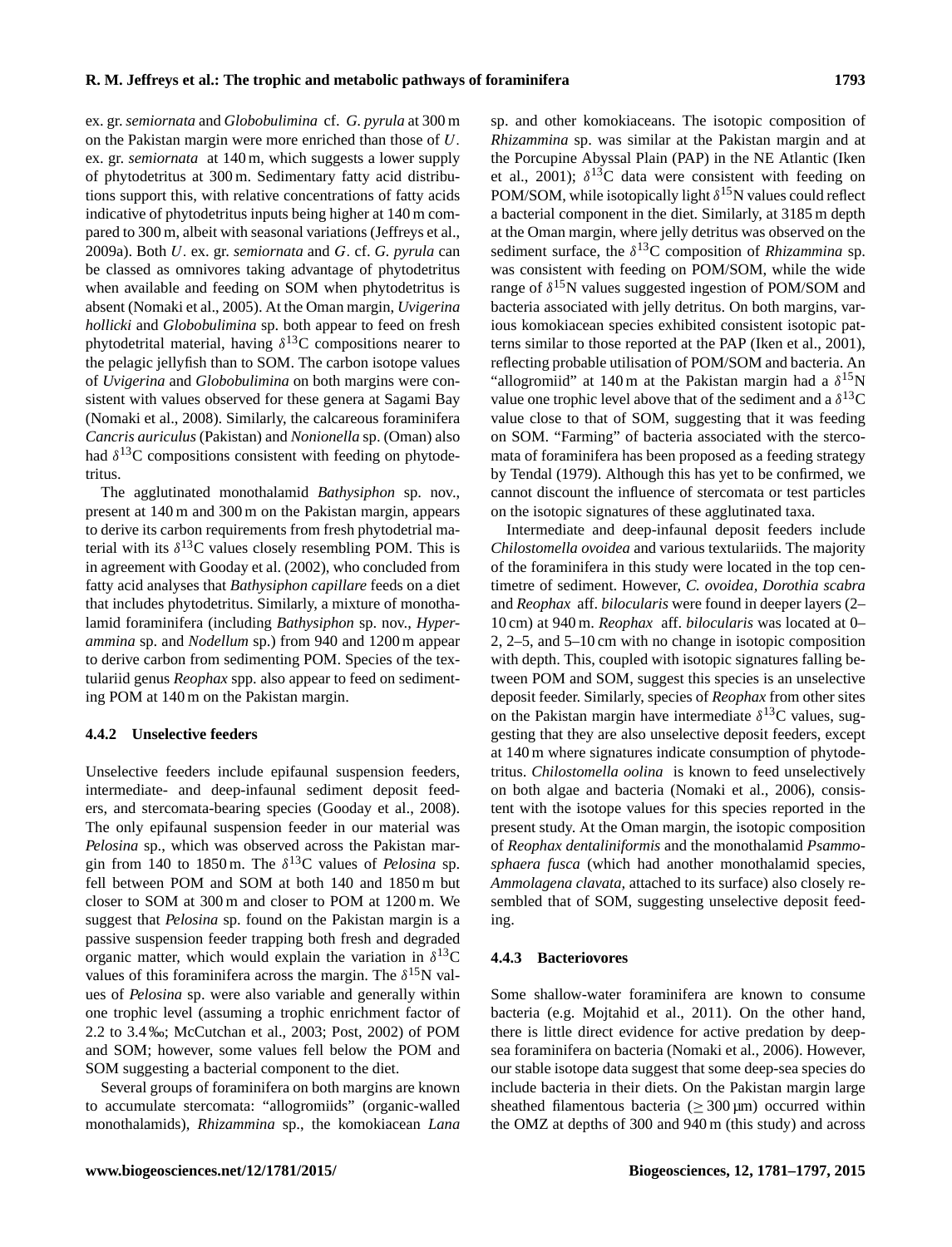ex. gr. *semiornata* and *Globobulimina* cf. *G. pyrula* at 300 m on the Pakistan margin were more enriched than those of U. ex. gr. *semiornata* at 140 m, which suggests a lower supply of phytodetritus at 300 m. Sedimentary fatty acid distributions support this, with relative concentrations of fatty acids indicative of phytodetritus inputs being higher at 140 m compared to 300 m, albeit with seasonal variations (Jeffreys et al., 2009a). Both U. ex. gr. *semiornata* and G. cf. *G. pyrula* can be classed as omnivores taking advantage of phytodetritus when available and feeding on SOM when phytodetritus is absent (Nomaki et al., 2005). At the Oman margin, *Uvigerina hollicki* and *Globobulimina* sp. both appear to feed on fresh phytodetrital material, having  $\delta^{13}$ C compositions nearer to the pelagic jellyfish than to SOM. The carbon isotope values of *Uvigerina* and *Globobulimina* on both margins were consistent with values observed for these genera at Sagami Bay (Nomaki et al., 2008). Similarly, the calcareous foraminifera *Cancris auriculus* (Pakistan) and *Nonionella* sp. (Oman) also had  $\delta^{13}$ C compositions consistent with feeding on phytodetritus.

The agglutinated monothalamid *Bathysiphon* sp. nov., present at 140 m and 300 m on the Pakistan margin, appears to derive its carbon requirements from fresh phytodetrial material with its  $\delta^{13}$ C values closely resembling POM. This is in agreement with Gooday et al. (2002), who concluded from fatty acid analyses that *Bathysiphon capillare* feeds on a diet that includes phytodetritus. Similarly, a mixture of monothalamid foraminifera (including *Bathysiphon* sp. nov., *Hyperammina* sp. and *Nodellum* sp.) from 940 and 1200 m appear to derive carbon from sedimenting POM. Species of the textulariid genus *Reophax* spp. also appear to feed on sedimenting POM at 140 m on the Pakistan margin.

## **4.4.2 Unselective feeders**

Unselective feeders include epifaunal suspension feeders, intermediate- and deep-infaunal sediment deposit feeders, and stercomata-bearing species (Gooday et al., 2008). The only epifaunal suspension feeder in our material was *Pelosina* sp., which was observed across the Pakistan margin from 140 to 1850 m. The  $\delta^{13}$ C values of *Pelosina* sp. fell between POM and SOM at both 140 and 1850 m but closer to SOM at 300 m and closer to POM at 1200 m. We suggest that *Pelosina* sp. found on the Pakistan margin is a passive suspension feeder trapping both fresh and degraded organic matter, which would explain the variation in  $\delta^{13}$ C values of this foraminifera across the margin. The  $\delta^{15}N$  values of *Pelosina* sp. were also variable and generally within one trophic level (assuming a trophic enrichment factor of 2.2 to 3.4 ‰; McCutchan et al., 2003; Post, 2002) of POM and SOM; however, some values fell below the POM and SOM suggesting a bacterial component to the diet.

Several groups of foraminifera on both margins are known to accumulate stercomata: "allogromiids" (organic-walled monothalamids), *Rhizammina* sp., the komokiacean *Lana* sp. and other komokiaceans. The isotopic composition of *Rhizammina* sp. was similar at the Pakistan margin and at the Porcupine Abyssal Plain (PAP) in the NE Atlantic (Iken et al., 2001);  $\delta^{13}$ C data were consistent with feeding on POM/SOM, while isotopically light  $\delta^{15}N$  values could reflect a bacterial component in the diet. Similarly, at 3185 m depth at the Oman margin, where jelly detritus was observed on the sediment surface, the  $\delta^{13}$ C composition of *Rhizammina* sp. was consistent with feeding on POM/SOM, while the wide range of  $\delta^{15}N$  values suggested ingestion of POM/SOM and bacteria associated with jelly detritus. On both margins, various komokiacean species exhibited consistent isotopic patterns similar to those reported at the PAP (Iken et al., 2001), reflecting probable utilisation of POM/SOM and bacteria. An "allogromiid" at 140 m at the Pakistan margin had a  $\delta^{15}N$ value one trophic level above that of the sediment and a  $\delta^{13}$ C value close to that of SOM, suggesting that it was feeding on SOM. "Farming" of bacteria associated with the stercomata of foraminifera has been proposed as a feeding strategy by Tendal (1979). Although this has yet to be confirmed, we cannot discount the influence of stercomata or test particles on the isotopic signatures of these agglutinated taxa.

Intermediate and deep-infaunal deposit feeders include *Chilostomella ovoidea* and various textulariids. The majority of the foraminifera in this study were located in the top centimetre of sediment. However, *C. ovoidea, Dorothia scabra* and *Reophax* aff. *bilocularis* were found in deeper layers (2– 10 cm) at 940 m. *Reophax* aff. *bilocularis* was located at 0– 2, 2–5, and 5–10 cm with no change in isotopic composition with depth. This, coupled with isotopic signatures falling between POM and SOM, suggest this species is an unselective deposit feeder. Similarly, species of *Reophax* from other sites on the Pakistan margin have intermediate  $\delta^{13}$ C values, suggesting that they are also unselective deposit feeders, except at 140 m where signatures indicate consumption of phytodetritus. *Chilostomella oolina* is known to feed unselectively on both algae and bacteria (Nomaki et al., 2006), consistent with the isotope values for this species reported in the present study. At the Oman margin, the isotopic composition of *Reophax dentaliniformis* and the monothalamid *Psammosphaera fusca* (which had another monothalamid species, *Ammolagena clavata,* attached to its surface) also closely resembled that of SOM, suggesting unselective deposit feeding.

#### **4.4.3 Bacteriovores**

Some shallow-water foraminifera are known to consume bacteria (e.g. Mojtahid et al., 2011). On the other hand, there is little direct evidence for active predation by deepsea foraminifera on bacteria (Nomaki et al., 2006). However, our stable isotope data suggest that some deep-sea species do include bacteria in their diets. On the Pakistan margin large sheathed filamentous bacteria ( $\geq 300 \,\mu m$ ) occurred within the OMZ at depths of 300 and 940 m (this study) and across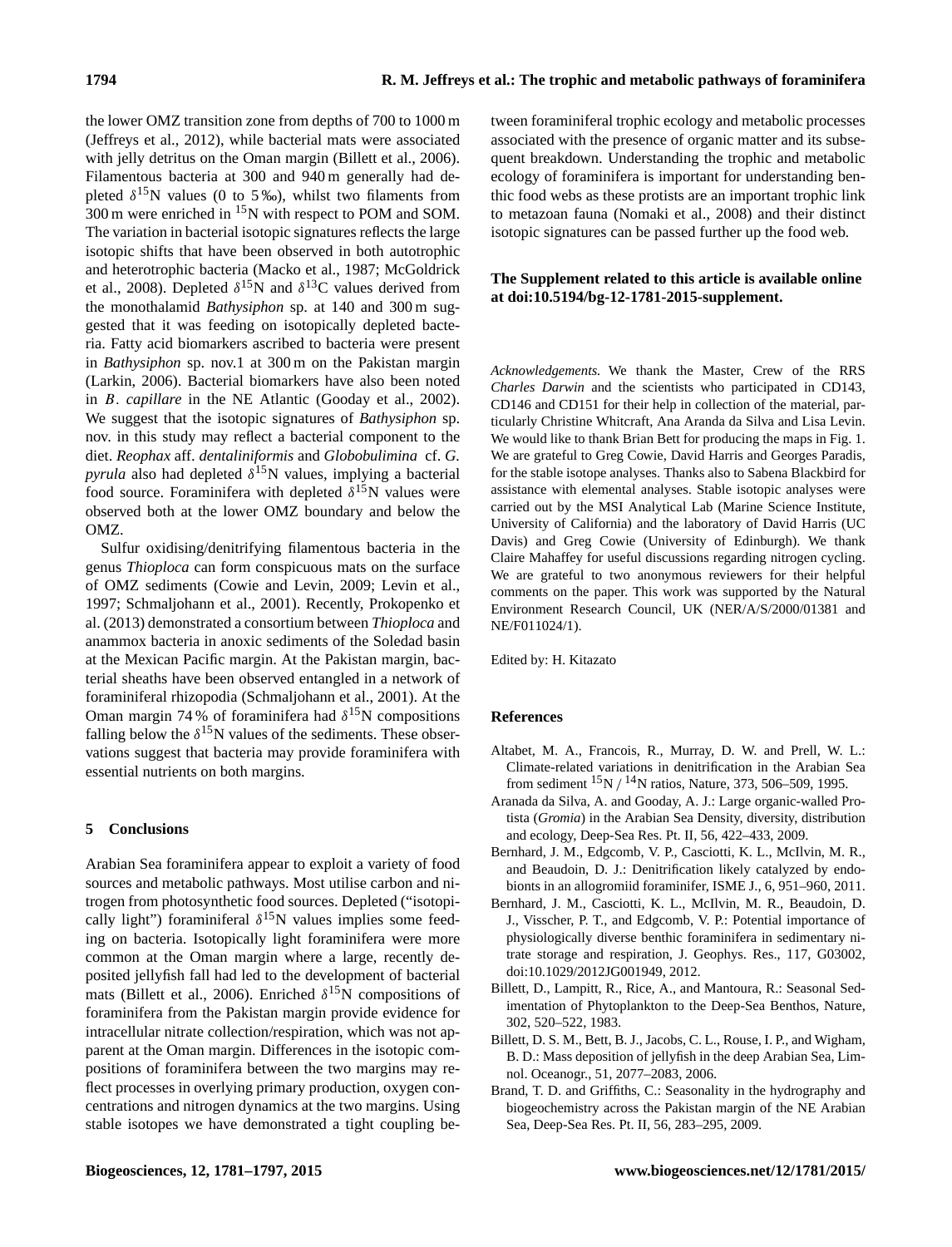the lower OMZ transition zone from depths of 700 to 1000 m (Jeffreys et al., 2012), while bacterial mats were associated with jelly detritus on the Oman margin (Billett et al., 2006). Filamentous bacteria at 300 and 940 m generally had depleted  $\delta^{15}$ N values (0 to 5‰), whilst two filaments from  $300 \text{ m}$  were enriched in  $^{15}$ N with respect to POM and SOM. The variation in bacterial isotopic signatures reflects the large isotopic shifts that have been observed in both autotrophic and heterotrophic bacteria (Macko et al., 1987; McGoldrick et al., 2008). Depleted  $\delta^{15}$ N and  $\delta^{13}$ C values derived from the monothalamid *Bathysiphon* sp. at 140 and 300 m suggested that it was feeding on isotopically depleted bacteria. Fatty acid biomarkers ascribed to bacteria were present in *Bathysiphon* sp. nov.1 at 300 m on the Pakistan margin (Larkin, 2006). Bacterial biomarkers have also been noted in B. *capillare* in the NE Atlantic (Gooday et al., 2002). We suggest that the isotopic signatures of *Bathysiphon* sp. nov. in this study may reflect a bacterial component to the diet. *Reophax* aff. *dentaliniformis* and *Globobulimina* cf. *G. pyrula* also had depleted δ <sup>15</sup>N values, implying a bacterial food source. Foraminifera with depleted  $\delta^{15}$ N values were observed both at the lower OMZ boundary and below the OMZ.

Sulfur oxidising/denitrifying filamentous bacteria in the genus *Thioploca* can form conspicuous mats on the surface of OMZ sediments (Cowie and Levin, 2009; Levin et al., 1997; Schmaljohann et al., 2001). Recently, Prokopenko et al. (2013) demonstrated a consortium between *Thioploca* and anammox bacteria in anoxic sediments of the Soledad basin at the Mexican Pacific margin. At the Pakistan margin, bacterial sheaths have been observed entangled in a network of foraminiferal rhizopodia (Schmaljohann et al., 2001). At the Oman margin 74 % of foraminifera had  $\delta^{15}N$  compositions falling below the  $\delta^{15}$ N values of the sediments. These observations suggest that bacteria may provide foraminifera with essential nutrients on both margins.

## **5 Conclusions**

Arabian Sea foraminifera appear to exploit a variety of food sources and metabolic pathways. Most utilise carbon and nitrogen from photosynthetic food sources. Depleted ("isotopically light") foraminiferal  $\delta^{15}N$  values implies some feeding on bacteria. Isotopically light foraminifera were more common at the Oman margin where a large, recently deposited jellyfish fall had led to the development of bacterial mats (Billett et al., 2006). Enriched  $\delta^{15}$ N compositions of foraminifera from the Pakistan margin provide evidence for intracellular nitrate collection/respiration, which was not apparent at the Oman margin. Differences in the isotopic compositions of foraminifera between the two margins may reflect processes in overlying primary production, oxygen concentrations and nitrogen dynamics at the two margins. Using stable isotopes we have demonstrated a tight coupling between foraminiferal trophic ecology and metabolic processes associated with the presence of organic matter and its subsequent breakdown. Understanding the trophic and metabolic ecology of foraminifera is important for understanding benthic food webs as these protists are an important trophic link to metazoan fauna (Nomaki et al., 2008) and their distinct isotopic signatures can be passed further up the food web.

# **The Supplement related to this article is available online at [doi:10.5194/bg-12-1781-2015-supplement.](http://dx.doi.org/10.5194/bg-12-1781-2015-supplement)**

*Acknowledgements.* We thank the Master, Crew of the RRS *Charles Darwin* and the scientists who participated in CD143, CD146 and CD151 for their help in collection of the material, particularly Christine Whitcraft, Ana Aranda da Silva and Lisa Levin. We would like to thank Brian Bett for producing the maps in Fig. 1. We are grateful to Greg Cowie, David Harris and Georges Paradis, for the stable isotope analyses. Thanks also to Sabena Blackbird for assistance with elemental analyses. Stable isotopic analyses were carried out by the MSI Analytical Lab (Marine Science Institute, University of California) and the laboratory of David Harris (UC Davis) and Greg Cowie (University of Edinburgh). We thank Claire Mahaffey for useful discussions regarding nitrogen cycling. We are grateful to two anonymous reviewers for their helpful comments on the paper. This work was supported by the Natural Environment Research Council, UK (NER/A/S/2000/01381 and NE/F011024/1).

Edited by: H. Kitazato

## **References**

- Altabet, M. A., Francois, R., Murray, D. W. and Prell, W. L.: Climate-related variations in denitrification in the Arabian Sea from sediment  ${}^{15}N / {}^{14}N$  ratios, Nature, 373, 506–509, 1995.
- Aranada da Silva, A. and Gooday, A. J.: Large organic-walled Protista (*Gromia*) in the Arabian Sea Density, diversity, distribution and ecology, Deep-Sea Res. Pt. II, 56, 422–433, 2009.
- Bernhard, J. M., Edgcomb, V. P., Casciotti, K. L., McIlvin, M. R., and Beaudoin, D. J.: Denitrification likely catalyzed by endobionts in an allogromiid foraminifer, ISME J., 6, 951–960, 2011.
- Bernhard, J. M., Casciotti, K. L., McIlvin, M. R., Beaudoin, D. J., Visscher, P. T., and Edgcomb, V. P.: Potential importance of physiologically diverse benthic foraminifera in sedimentary nitrate storage and respiration, J. Geophys. Res., 117, G03002, doi[:10.1029/2012JG001949,](http://dx.doi.org/10.1029/2012JG001949) 2012.
- Billett, D., Lampitt, R., Rice, A., and Mantoura, R.: Seasonal Sedimentation of Phytoplankton to the Deep-Sea Benthos, Nature, 302, 520–522, 1983.
- Billett, D. S. M., Bett, B. J., Jacobs, C. L., Rouse, I. P., and Wigham, B. D.: Mass deposition of jellyfish in the deep Arabian Sea, Limnol. Oceanogr., 51, 2077–2083, 2006.
- Brand, T. D. and Griffiths, C.: Seasonality in the hydrography and biogeochemistry across the Pakistan margin of the NE Arabian Sea, Deep-Sea Res. Pt. II, 56, 283–295, 2009.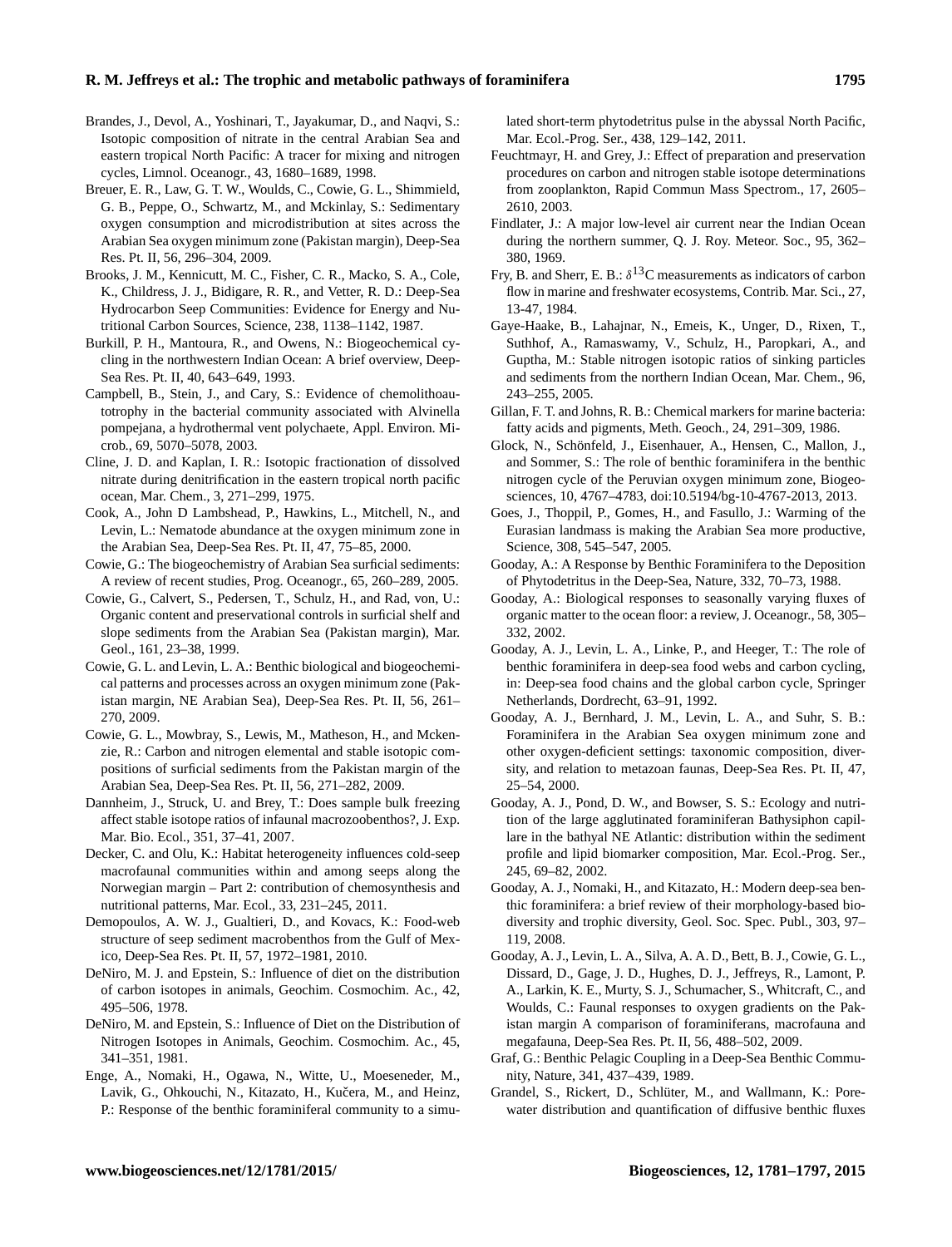- Brandes, J., Devol, A., Yoshinari, T., Jayakumar, D., and Naqvi, S.: Isotopic composition of nitrate in the central Arabian Sea and eastern tropical North Pacific: A tracer for mixing and nitrogen cycles, Limnol. Oceanogr., 43, 1680–1689, 1998.
- Breuer, E. R., Law, G. T. W., Woulds, C., Cowie, G. L., Shimmield, G. B., Peppe, O., Schwartz, M., and Mckinlay, S.: Sedimentary oxygen consumption and microdistribution at sites across the Arabian Sea oxygen minimum zone (Pakistan margin), Deep-Sea Res. Pt. II, 56, 296–304, 2009.
- Brooks, J. M., Kennicutt, M. C., Fisher, C. R., Macko, S. A., Cole, K., Childress, J. J., Bidigare, R. R., and Vetter, R. D.: Deep-Sea Hydrocarbon Seep Communities: Evidence for Energy and Nutritional Carbon Sources, Science, 238, 1138–1142, 1987.
- Burkill, P. H., Mantoura, R., and Owens, N.: Biogeochemical cycling in the northwestern Indian Ocean: A brief overview, Deep-Sea Res. Pt. II, 40, 643–649, 1993.
- Campbell, B., Stein, J., and Cary, S.: Evidence of chemolithoautotrophy in the bacterial community associated with Alvinella pompejana, a hydrothermal vent polychaete, Appl. Environ. Microb., 69, 5070–5078, 2003.
- Cline, J. D. and Kaplan, I. R.: Isotopic fractionation of dissolved nitrate during denitrification in the eastern tropical north pacific ocean, Mar. Chem., 3, 271–299, 1975.
- Cook, A., John D Lambshead, P., Hawkins, L., Mitchell, N., and Levin, L.: Nematode abundance at the oxygen minimum zone in the Arabian Sea, Deep-Sea Res. Pt. II, 47, 75–85, 2000.
- Cowie, G.: The biogeochemistry of Arabian Sea surficial sediments: A review of recent studies, Prog. Oceanogr., 65, 260–289, 2005.
- Cowie, G., Calvert, S., Pedersen, T., Schulz, H., and Rad, von, U.: Organic content and preservational controls in surficial shelf and slope sediments from the Arabian Sea (Pakistan margin), Mar. Geol., 161, 23–38, 1999.
- Cowie, G. L. and Levin, L. A.: Benthic biological and biogeochemical patterns and processes across an oxygen minimum zone (Pakistan margin, NE Arabian Sea), Deep-Sea Res. Pt. II, 56, 261– 270, 2009.
- Cowie, G. L., Mowbray, S., Lewis, M., Matheson, H., and Mckenzie, R.: Carbon and nitrogen elemental and stable isotopic compositions of surficial sediments from the Pakistan margin of the Arabian Sea, Deep-Sea Res. Pt. II, 56, 271–282, 2009.
- Dannheim, J., Struck, U. and Brey, T.: Does sample bulk freezing affect stable isotope ratios of infaunal macrozoobenthos?, J. Exp. Mar. Bio. Ecol., 351, 37–41, 2007.
- Decker, C. and Olu, K.: Habitat heterogeneity influences cold-seep macrofaunal communities within and among seeps along the Norwegian margin – Part 2: contribution of chemosynthesis and nutritional patterns, Mar. Ecol., 33, 231–245, 2011.
- Demopoulos, A. W. J., Gualtieri, D., and Kovacs, K.: Food-web structure of seep sediment macrobenthos from the Gulf of Mexico, Deep-Sea Res. Pt. II, 57, 1972–1981, 2010.
- DeNiro, M. J. and Epstein, S.: Influence of diet on the distribution of carbon isotopes in animals, Geochim. Cosmochim. Ac., 42, 495–506, 1978.
- DeNiro, M. and Epstein, S.: Influence of Diet on the Distribution of Nitrogen Isotopes in Animals, Geochim. Cosmochim. Ac., 45, 341–351, 1981.
- Enge, A., Nomaki, H., Ogawa, N., Witte, U., Moeseneder, M., Lavik, G., Ohkouchi, N., Kitazato, H., Kučera, M., and Heinz, P.: Response of the benthic foraminiferal community to a simu-

lated short-term phytodetritus pulse in the abyssal North Pacific, Mar. Ecol.-Prog. Ser., 438, 129–142, 2011.

- Feuchtmayr, H. and Grey, J.: Effect of preparation and preservation procedures on carbon and nitrogen stable isotope determinations from zooplankton, Rapid Commun Mass Spectrom., 17, 2605– 2610, 2003.
- Findlater, J.: A major low-level air current near the Indian Ocean during the northern summer, Q. J. Roy. Meteor. Soc., 95, 362– 380, 1969.
- Fry, B. and Sherr, E. B.:  $\delta^{13}$ C measurements as indicators of carbon flow in marine and freshwater ecosystems, Contrib. Mar. Sci., 27, 13-47, 1984.
- Gaye-Haake, B., Lahajnar, N., Emeis, K., Unger, D., Rixen, T., Suthhof, A., Ramaswamy, V., Schulz, H., Paropkari, A., and Guptha, M.: Stable nitrogen isotopic ratios of sinking particles and sediments from the northern Indian Ocean, Mar. Chem., 96, 243–255, 2005.
- Gillan, F. T. and Johns, R. B.: Chemical markers for marine bacteria: fatty acids and pigments, Meth. Geoch., 24, 291–309, 1986.
- Glock, N., Schönfeld, J., Eisenhauer, A., Hensen, C., Mallon, J., and Sommer, S.: The role of benthic foraminifera in the benthic nitrogen cycle of the Peruvian oxygen minimum zone, Biogeosciences, 10, 4767–4783, doi[:10.5194/bg-10-4767-2013,](http://dx.doi.org/10.5194/bg-10-4767-2013) 2013.
- Goes, J., Thoppil, P., Gomes, H., and Fasullo, J.: Warming of the Eurasian landmass is making the Arabian Sea more productive, Science, 308, 545–547, 2005.
- Gooday, A.: A Response by Benthic Foraminifera to the Deposition of Phytodetritus in the Deep-Sea, Nature, 332, 70–73, 1988.
- Gooday, A.: Biological responses to seasonally varying fluxes of organic matter to the ocean floor: a review, J. Oceanogr., 58, 305– 332, 2002.
- Gooday, A. J., Levin, L. A., Linke, P., and Heeger, T.: The role of benthic foraminifera in deep-sea food webs and carbon cycling, in: Deep-sea food chains and the global carbon cycle, Springer Netherlands, Dordrecht, 63–91, 1992.
- Gooday, A. J., Bernhard, J. M., Levin, L. A., and Suhr, S. B.: Foraminifera in the Arabian Sea oxygen minimum zone and other oxygen-deficient settings: taxonomic composition, diversity, and relation to metazoan faunas, Deep-Sea Res. Pt. II, 47, 25–54, 2000.
- Gooday, A. J., Pond, D. W., and Bowser, S. S.: Ecology and nutrition of the large agglutinated foraminiferan Bathysiphon capillare in the bathyal NE Atlantic: distribution within the sediment profile and lipid biomarker composition, Mar. Ecol.-Prog. Ser., 245, 69–82, 2002.
- Gooday, A. J., Nomaki, H., and Kitazato, H.: Modern deep-sea benthic foraminifera: a brief review of their morphology-based biodiversity and trophic diversity, Geol. Soc. Spec. Publ., 303, 97– 119, 2008.
- Gooday, A. J., Levin, L. A., Silva, A. A. D., Bett, B. J., Cowie, G. L., Dissard, D., Gage, J. D., Hughes, D. J., Jeffreys, R., Lamont, P. A., Larkin, K. E., Murty, S. J., Schumacher, S., Whitcraft, C., and Woulds, C.: Faunal responses to oxygen gradients on the Pakistan margin A comparison of foraminiferans, macrofauna and megafauna, Deep-Sea Res. Pt. II, 56, 488–502, 2009.
- Graf, G.: Benthic Pelagic Coupling in a Deep-Sea Benthic Community, Nature, 341, 437–439, 1989.
- Grandel, S., Rickert, D., Schlüter, M., and Wallmann, K.: Porewater distribution and quantification of diffusive benthic fluxes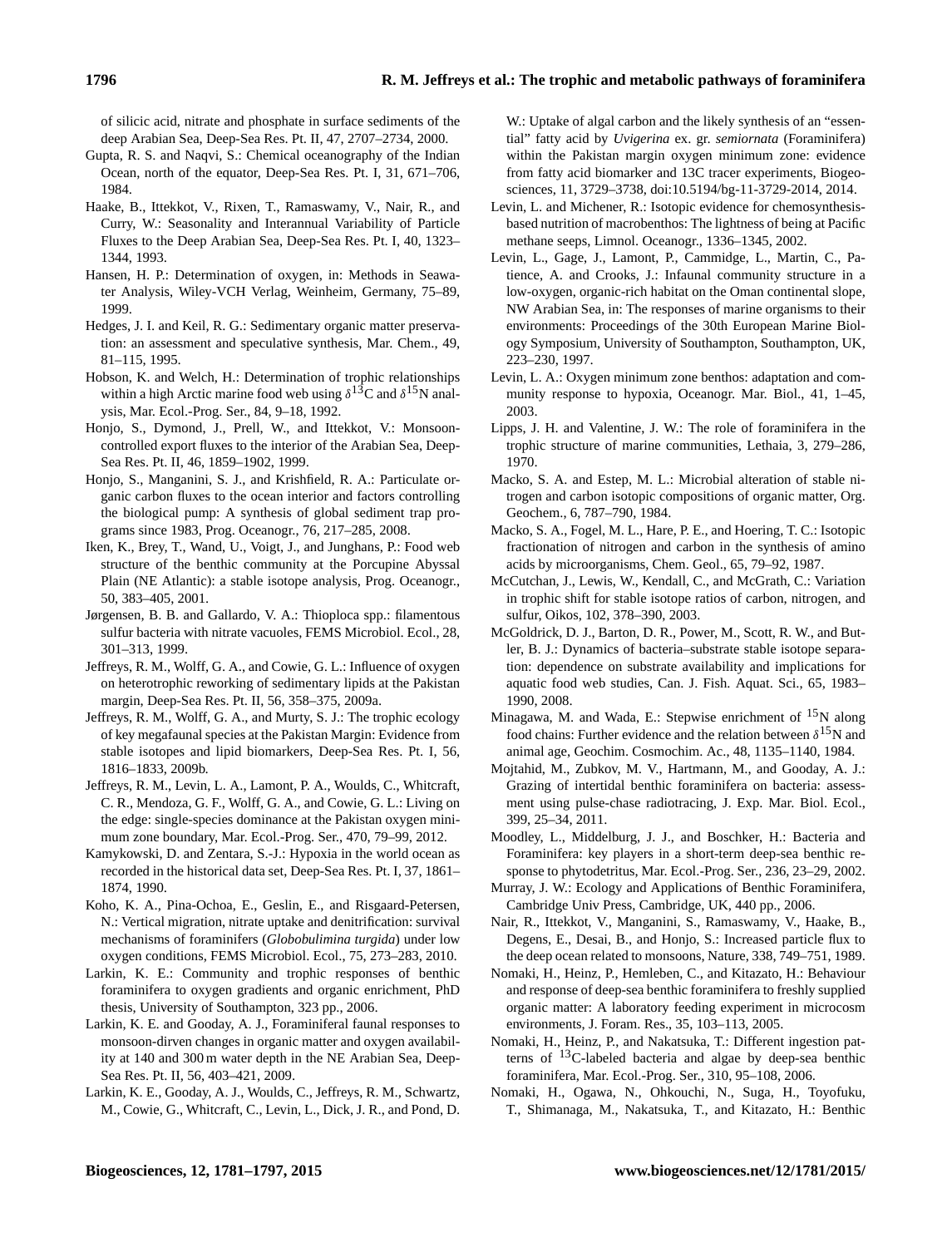of silicic acid, nitrate and phosphate in surface sediments of the deep Arabian Sea, Deep-Sea Res. Pt. II, 47, 2707–2734, 2000.

- Gupta, R. S. and Naqvi, S.: Chemical oceanography of the Indian Ocean, north of the equator, Deep-Sea Res. Pt. I, 31, 671–706, 1984.
- Haake, B., Ittekkot, V., Rixen, T., Ramaswamy, V., Nair, R., and Curry, W.: Seasonality and Interannual Variability of Particle Fluxes to the Deep Arabian Sea, Deep-Sea Res. Pt. I, 40, 1323– 1344, 1993.
- Hansen, H. P.: Determination of oxygen, in: Methods in Seawater Analysis, Wiley-VCH Verlag, Weinheim, Germany, 75–89, 1999.
- Hedges, J. I. and Keil, R. G.: Sedimentary organic matter preservation: an assessment and speculative synthesis, Mar. Chem., 49, 81–115, 1995.
- Hobson, K. and Welch, H.: Determination of trophic relationships within a high Arctic marine food web using  $\delta^{13}$ C and  $\delta^{15}$ N analysis, Mar. Ecol.-Prog. Ser., 84, 9–18, 1992.
- Honjo, S., Dymond, J., Prell, W., and Ittekkot, V.: Monsooncontrolled export fluxes to the interior of the Arabian Sea, Deep-Sea Res. Pt. II, 46, 1859–1902, 1999.
- Honjo, S., Manganini, S. J., and Krishfield, R. A.: Particulate organic carbon fluxes to the ocean interior and factors controlling the biological pump: A synthesis of global sediment trap programs since 1983, Prog. Oceanogr., 76, 217–285, 2008.
- Iken, K., Brey, T., Wand, U., Voigt, J., and Junghans, P.: Food web structure of the benthic community at the Porcupine Abyssal Plain (NE Atlantic): a stable isotope analysis, Prog. Oceanogr., 50, 383–405, 2001.
- Jørgensen, B. B. and Gallardo, V. A.: Thioploca spp.: filamentous sulfur bacteria with nitrate vacuoles, FEMS Microbiol. Ecol., 28, 301–313, 1999.
- Jeffreys, R. M., Wolff, G. A., and Cowie, G. L.: Influence of oxygen on heterotrophic reworking of sedimentary lipids at the Pakistan margin, Deep-Sea Res. Pt. II, 56, 358–375, 2009a.
- Jeffreys, R. M., Wolff, G. A., and Murty, S. J.: The trophic ecology of key megafaunal species at the Pakistan Margin: Evidence from stable isotopes and lipid biomarkers, Deep-Sea Res. Pt. I, 56, 1816–1833, 2009b.
- Jeffreys, R. M., Levin, L. A., Lamont, P. A., Woulds, C., Whitcraft, C. R., Mendoza, G. F., Wolff, G. A., and Cowie, G. L.: Living on the edge: single-species dominance at the Pakistan oxygen minimum zone boundary, Mar. Ecol.-Prog. Ser., 470, 79–99, 2012.
- Kamykowski, D. and Zentara, S.-J.: Hypoxia in the world ocean as recorded in the historical data set, Deep-Sea Res. Pt. I, 37, 1861– 1874, 1990.
- Koho, K. A., Pina-Ochoa, E., Geslin, E., and Risgaard-Petersen, N.: Vertical migration, nitrate uptake and denitrification: survival mechanisms of foraminifers (*Globobulimina turgida*) under low oxygen conditions, FEMS Microbiol. Ecol., 75, 273–283, 2010.
- Larkin, K. E.: Community and trophic responses of benthic foraminifera to oxygen gradients and organic enrichment, PhD thesis, University of Southampton, 323 pp., 2006.
- Larkin, K. E. and Gooday, A. J., Foraminiferal faunal responses to monsoon-dirven changes in organic matter and oxygen availability at 140 and 300 m water depth in the NE Arabian Sea, Deep-Sea Res. Pt. II, 56, 403–421, 2009.
- Larkin, K. E., Gooday, A. J., Woulds, C., Jeffreys, R. M., Schwartz, M., Cowie, G., Whitcraft, C., Levin, L., Dick, J. R., and Pond, D.

W.: Uptake of algal carbon and the likely synthesis of an "essential" fatty acid by *Uvigerina* ex. gr. *semiornata* (Foraminifera) within the Pakistan margin oxygen minimum zone: evidence from fatty acid biomarker and 13C tracer experiments, Biogeosciences, 11, 3729–3738, doi[:10.5194/bg-11-3729-2014,](http://dx.doi.org/10.5194/bg-11-3729-2014) 2014.

- Levin, L. and Michener, R.: Isotopic evidence for chemosynthesisbased nutrition of macrobenthos: The lightness of being at Pacific methane seeps, Limnol. Oceanogr., 1336–1345, 2002.
- Levin, L., Gage, J., Lamont, P., Cammidge, L., Martin, C., Patience, A. and Crooks, J.: Infaunal community structure in a low-oxygen, organic-rich habitat on the Oman continental slope, NW Arabian Sea, in: The responses of marine organisms to their environments: Proceedings of the 30th European Marine Biology Symposium, University of Southampton, Southampton, UK, 223–230, 1997.
- Levin, L. A.: Oxygen minimum zone benthos: adaptation and community response to hypoxia, Oceanogr. Mar. Biol., 41, 1–45, 2003.
- Lipps, J. H. and Valentine, J. W.: The role of foraminifera in the trophic structure of marine communities, Lethaia, 3, 279–286, 1970.
- Macko, S. A. and Estep, M. L.: Microbial alteration of stable nitrogen and carbon isotopic compositions of organic matter, Org. Geochem., 6, 787–790, 1984.
- Macko, S. A., Fogel, M. L., Hare, P. E., and Hoering, T. C.: Isotopic fractionation of nitrogen and carbon in the synthesis of amino acids by microorganisms, Chem. Geol., 65, 79–92, 1987.
- McCutchan, J., Lewis, W., Kendall, C., and McGrath, C.: Variation in trophic shift for stable isotope ratios of carbon, nitrogen, and sulfur, Oikos, 102, 378–390, 2003.
- McGoldrick, D. J., Barton, D. R., Power, M., Scott, R. W., and Butler, B. J.: Dynamics of bacteria–substrate stable isotope separation: dependence on substrate availability and implications for aquatic food web studies, Can. J. Fish. Aquat. Sci., 65, 1983– 1990, 2008.
- Minagawa, M. and Wada, E.: Stepwise enrichment of  $^{15}N$  along food chains: Further evidence and the relation between  $\delta^{15}N$  and animal age, Geochim. Cosmochim. Ac., 48, 1135–1140, 1984.
- Mojtahid, M., Zubkov, M. V., Hartmann, M., and Gooday, A. J.: Grazing of intertidal benthic foraminifera on bacteria: assessment using pulse-chase radiotracing, J. Exp. Mar. Biol. Ecol., 399, 25–34, 2011.
- Moodley, L., Middelburg, J. J., and Boschker, H.: Bacteria and Foraminifera: key players in a short-term deep-sea benthic response to phytodetritus, Mar. Ecol.-Prog. Ser., 236, 23–29, 2002.
- Murray, J. W.: Ecology and Applications of Benthic Foraminifera, Cambridge Univ Press, Cambridge, UK, 440 pp., 2006.
- Nair, R., Ittekkot, V., Manganini, S., Ramaswamy, V., Haake, B., Degens, E., Desai, B., and Honjo, S.: Increased particle flux to the deep ocean related to monsoons, Nature, 338, 749–751, 1989.
- Nomaki, H., Heinz, P., Hemleben, C., and Kitazato, H.: Behaviour and response of deep-sea benthic foraminifera to freshly supplied organic matter: A laboratory feeding experiment in microcosm environments, J. Foram. Res., 35, 103–113, 2005.
- Nomaki, H., Heinz, P., and Nakatsuka, T.: Different ingestion patterns of  $^{13}$ C-labeled bacteria and algae by deep-sea benthic foraminifera, Mar. Ecol.-Prog. Ser., 310, 95–108, 2006.
- Nomaki, H., Ogawa, N., Ohkouchi, N., Suga, H., Toyofuku, T., Shimanaga, M., Nakatsuka, T., and Kitazato, H.: Benthic